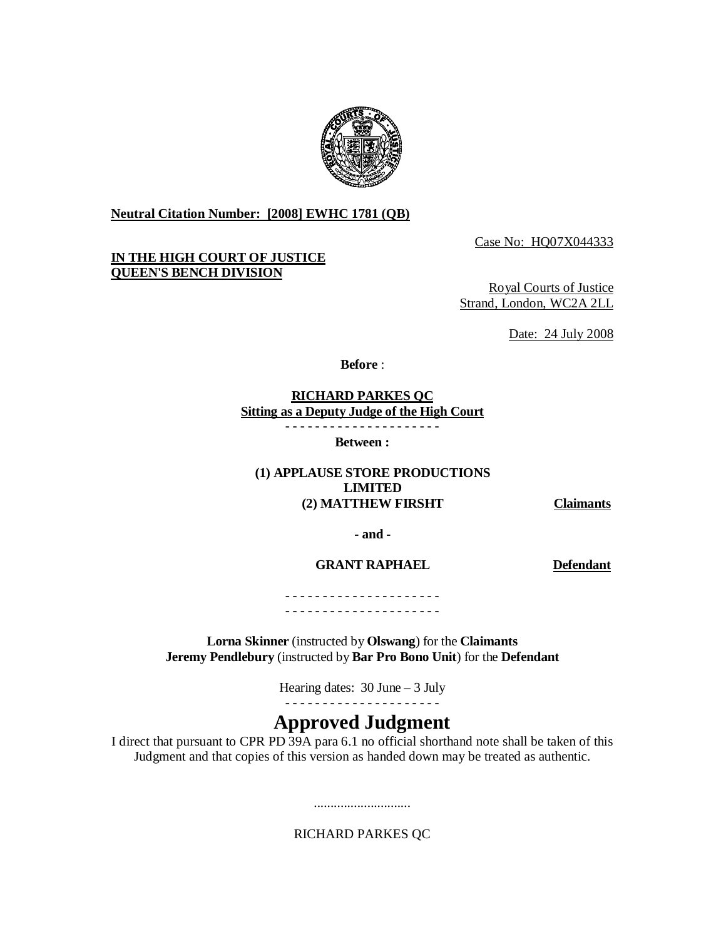

**Neutral Citation Number: [2008] EWHC 1781 (QB)**

# **IN THE HIGH COURT OF JUSTICE QUEEN'S BENCH DIVISION**

Case No: HQ07X044333

Royal Courts of Justice Strand, London, WC2A 2LL

Date: 24 July 2008

**Before** :

#### **RICHARD PARKES QC Sitting as a Deputy Judge of the High Court** - - - - - - - - - - - - - - - - - - - - -

**Between :** 

### **(1) APPLAUSE STORE PRODUCTIONS LIMITED (2) MATTHEW FIRSHT Claimants**

**- and -** 

**GRANT RAPHAEL Defendant** 

- - - - - - - - - - - - - - - - - - - - - - - - - - - - - - - - - - - - - - - - - -

**Lorna Skinner** (instructed by **Olswang**) for the **Claimants Jeremy Pendlebury** (instructed by **Bar Pro Bono Unit**) for the **Defendant**

> Hearing dates: 30 June – 3 July - - - - - - - - - - - - - - - - - - - - -

# **Approved Judgment**

I direct that pursuant to CPR PD 39A para 6.1 no official shorthand note shall be taken of this Judgment and that copies of this version as handed down may be treated as authentic.

RICHARD PARKES QC

.............................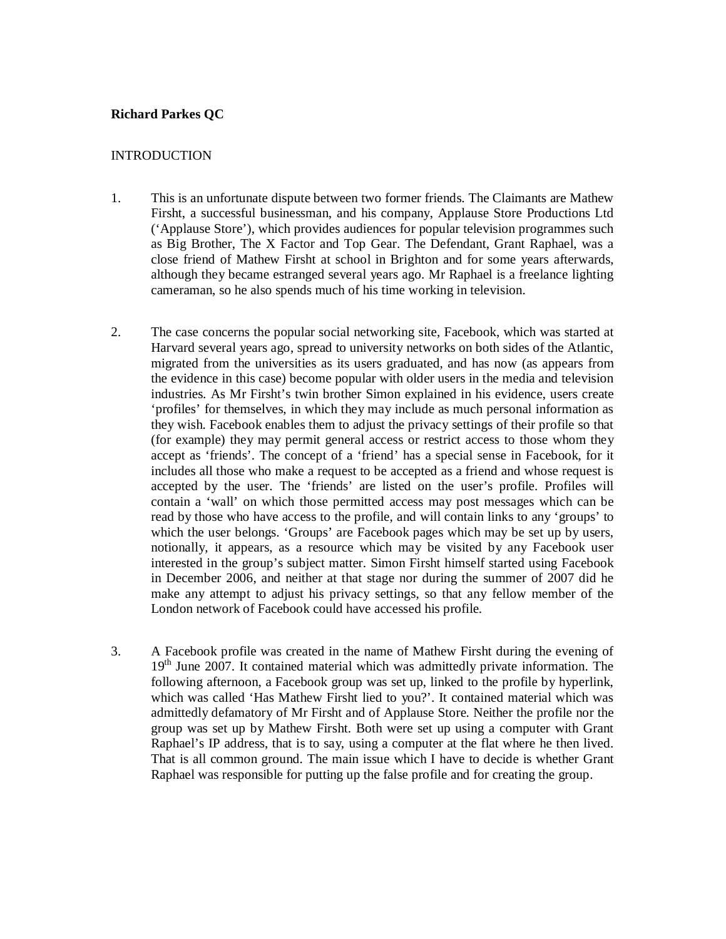# **Richard Parkes QC**

#### INTRODUCTION

- 1. This is an unfortunate dispute between two former friends. The Claimants are Mathew Firsht, a successful businessman, and his company, Applause Store Productions Ltd ('Applause Store'), which provides audiences for popular television programmes such as Big Brother, The X Factor and Top Gear. The Defendant, Grant Raphael, was a close friend of Mathew Firsht at school in Brighton and for some years afterwards, although they became estranged several years ago. Mr Raphael is a freelance lighting cameraman, so he also spends much of his time working in television.
- 2. The case concerns the popular social networking site, Facebook, which was started at Harvard several years ago, spread to university networks on both sides of the Atlantic, migrated from the universities as its users graduated, and has now (as appears from the evidence in this case) become popular with older users in the media and television industries. As Mr Firsht's twin brother Simon explained in his evidence, users create 'profiles' for themselves, in which they may include as much personal information as they wish. Facebook enables them to adjust the privacy settings of their profile so that (for example) they may permit general access or restrict access to those whom they accept as 'friends'. The concept of a 'friend' has a special sense in Facebook, for it includes all those who make a request to be accepted as a friend and whose request is accepted by the user. The 'friends' are listed on the user's profile. Profiles will contain a 'wall' on which those permitted access may post messages which can be read by those who have access to the profile, and will contain links to any 'groups' to which the user belongs. 'Groups' are Facebook pages which may be set up by users, notionally, it appears, as a resource which may be visited by any Facebook user interested in the group's subject matter. Simon Firsht himself started using Facebook in December 2006, and neither at that stage nor during the summer of 2007 did he make any attempt to adjust his privacy settings, so that any fellow member of the London network of Facebook could have accessed his profile.
- 3. A Facebook profile was created in the name of Mathew Firsht during the evening of 19<sup>th</sup> June 2007. It contained material which was admittedly private information. The following afternoon, a Facebook group was set up, linked to the profile by hyperlink, which was called 'Has Mathew Firsht lied to you?'. It contained material which was admittedly defamatory of Mr Firsht and of Applause Store. Neither the profile nor the group was set up by Mathew Firsht. Both were set up using a computer with Grant Raphael's IP address, that is to say, using a computer at the flat where he then lived. That is all common ground. The main issue which I have to decide is whether Grant Raphael was responsible for putting up the false profile and for creating the group.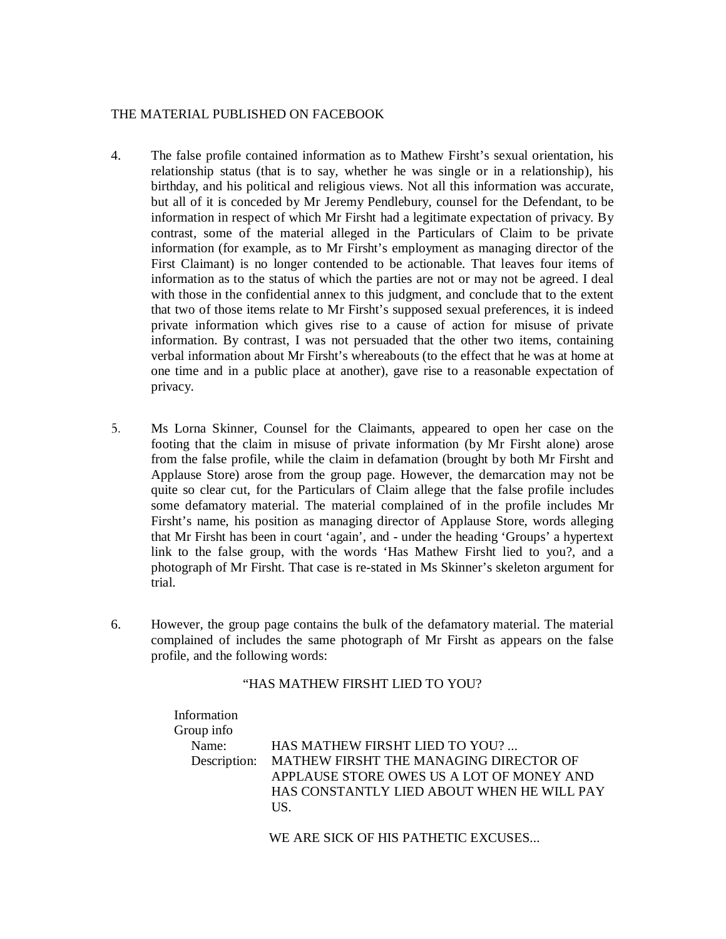## THE MATERIAL PUBLISHED ON FACEBOOK

- 4. The false profile contained information as to Mathew Firsht's sexual orientation, his relationship status (that is to say, whether he was single or in a relationship), his birthday, and his political and religious views. Not all this information was accurate, but all of it is conceded by Mr Jeremy Pendlebury, counsel for the Defendant, to be information in respect of which Mr Firsht had a legitimate expectation of privacy. By contrast, some of the material alleged in the Particulars of Claim to be private information (for example, as to Mr Firsht's employment as managing director of the First Claimant) is no longer contended to be actionable. That leaves four items of information as to the status of which the parties are not or may not be agreed. I deal with those in the confidential annex to this judgment, and conclude that to the extent that two of those items relate to Mr Firsht's supposed sexual preferences, it is indeed private information which gives rise to a cause of action for misuse of private information. By contrast, I was not persuaded that the other two items, containing verbal information about Mr Firsht's whereabouts (to the effect that he was at home at one time and in a public place at another), gave rise to a reasonable expectation of privacy.
- 5. Ms Lorna Skinner, Counsel for the Claimants, appeared to open her case on the footing that the claim in misuse of private information (by Mr Firsht alone) arose from the false profile, while the claim in defamation (brought by both Mr Firsht and Applause Store) arose from the group page. However, the demarcation may not be quite so clear cut, for the Particulars of Claim allege that the false profile includes some defamatory material. The material complained of in the profile includes Mr Firsht's name, his position as managing director of Applause Store, words alleging that Mr Firsht has been in court 'again', and - under the heading 'Groups' a hypertext link to the false group, with the words 'Has Mathew Firsht lied to you?, and a photograph of Mr Firsht. That case is re-stated in Ms Skinner's skeleton argument for trial.
- 6. However, the group page contains the bulk of the defamatory material. The material complained of includes the same photograph of Mr Firsht as appears on the false profile, and the following words:

### "HAS MATHEW FIRSHT LIED TO YOU?

 Information Group info Name: HAS MATHEW FIRSHT LIED TO YOU? ... Description: MATHEW FIRSHT THE MANAGING DIRECTOR OF APPLAUSE STORE OWES US A LOT OF MONEY AND HAS CONSTANTLY LIED ABOUT WHEN HE WILL PAY US.

WE ARE SICK OF HIS PATHETIC EXCUSES...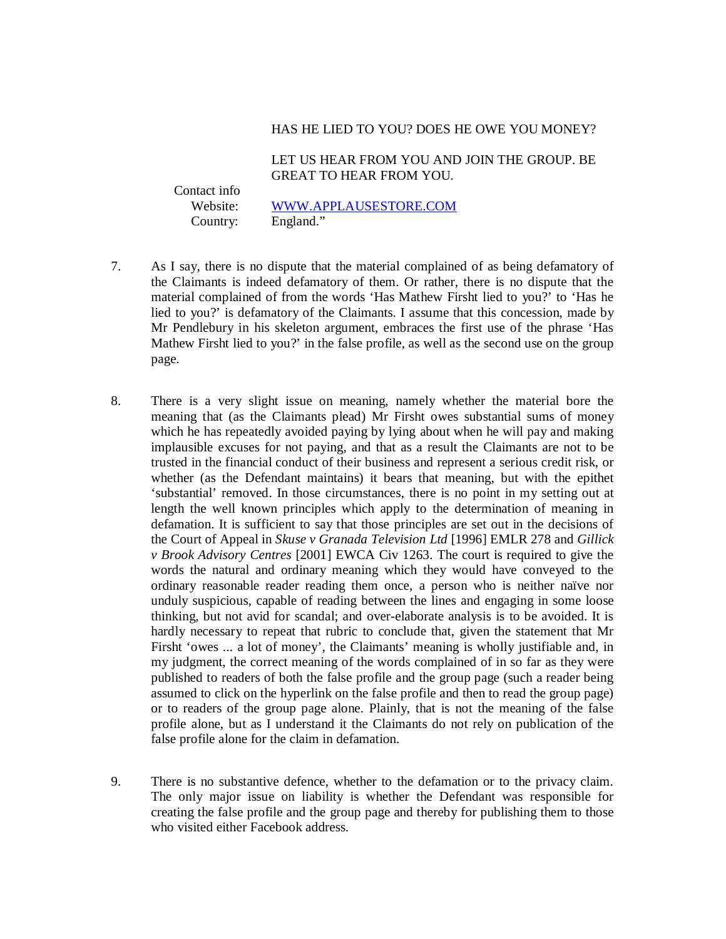#### HAS HE LIED TO YOU? DOES HE OWE YOU MONEY?

LET US HEAR FROM YOU AND JOIN THE GROUP. BE GREAT TO HEAR FROM YOU.

Contact info

 Website: WWW.APPLAUSESTORE.COM Country: England."

- 7. As I say, there is no dispute that the material complained of as being defamatory of the Claimants is indeed defamatory of them. Or rather, there is no dispute that the material complained of from the words 'Has Mathew Firsht lied to you?' to 'Has he lied to you?' is defamatory of the Claimants. I assume that this concession, made by Mr Pendlebury in his skeleton argument, embraces the first use of the phrase 'Has Mathew Firsht lied to you?' in the false profile, as well as the second use on the group page.
- 8. There is a very slight issue on meaning, namely whether the material bore the meaning that (as the Claimants plead) Mr Firsht owes substantial sums of money which he has repeatedly avoided paying by lying about when he will pay and making implausible excuses for not paying, and that as a result the Claimants are not to be trusted in the financial conduct of their business and represent a serious credit risk, or whether (as the Defendant maintains) it bears that meaning, but with the epithet 'substantial' removed. In those circumstances, there is no point in my setting out at length the well known principles which apply to the determination of meaning in defamation. It is sufficient to say that those principles are set out in the decisions of the Court of Appeal in *Skuse v Granada Television Ltd* [1996] EMLR 278 and *Gillick v Brook Advisory Centres* [2001] EWCA Civ 1263. The court is required to give the words the natural and ordinary meaning which they would have conveyed to the ordinary reasonable reader reading them once, a person who is neither naïve nor unduly suspicious, capable of reading between the lines and engaging in some loose thinking, but not avid for scandal; and over-elaborate analysis is to be avoided. It is hardly necessary to repeat that rubric to conclude that, given the statement that Mr Firsht 'owes ... a lot of money', the Claimants' meaning is wholly justifiable and, in my judgment, the correct meaning of the words complained of in so far as they were published to readers of both the false profile and the group page (such a reader being assumed to click on the hyperlink on the false profile and then to read the group page) or to readers of the group page alone. Plainly, that is not the meaning of the false profile alone, but as I understand it the Claimants do not rely on publication of the false profile alone for the claim in defamation.
- 9. There is no substantive defence, whether to the defamation or to the privacy claim. The only major issue on liability is whether the Defendant was responsible for creating the false profile and the group page and thereby for publishing them to those who visited either Facebook address.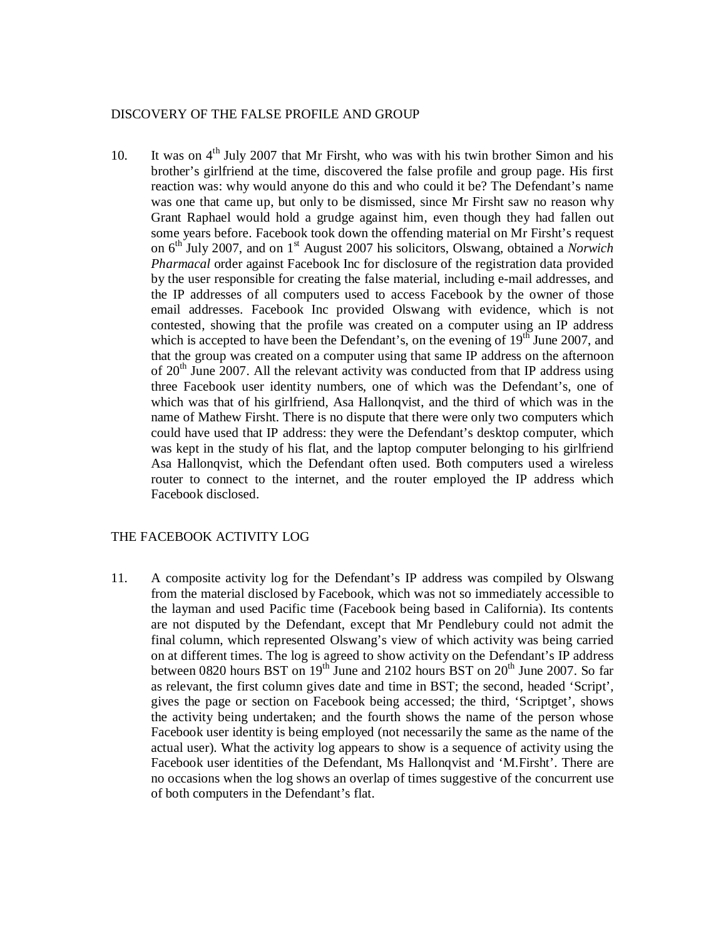#### DISCOVERY OF THE FALSE PROFILE AND GROUP

10. It was on  $4<sup>th</sup>$  July 2007 that Mr Firsht, who was with his twin brother Simon and his brother's girlfriend at the time, discovered the false profile and group page. His first reaction was: why would anyone do this and who could it be? The Defendant's name was one that came up, but only to be dismissed, since Mr Firsht saw no reason why Grant Raphael would hold a grudge against him, even though they had fallen out some years before. Facebook took down the offending material on Mr Firsht's request on 6th July 2007, and on 1st August 2007 his solicitors, Olswang, obtained a *Norwich Pharmacal* order against Facebook Inc for disclosure of the registration data provided by the user responsible for creating the false material, including e-mail addresses, and the IP addresses of all computers used to access Facebook by the owner of those email addresses. Facebook Inc provided Olswang with evidence, which is not contested, showing that the profile was created on a computer using an IP address which is accepted to have been the Defendant's, on the evening of  $19<sup>th</sup>$  June 2007, and that the group was created on a computer using that same IP address on the afternoon of  $20<sup>th</sup>$  June 2007. All the relevant activity was conducted from that IP address using three Facebook user identity numbers, one of which was the Defendant's, one of which was that of his girlfriend, Asa Hallonqvist, and the third of which was in the name of Mathew Firsht. There is no dispute that there were only two computers which could have used that IP address: they were the Defendant's desktop computer, which was kept in the study of his flat, and the laptop computer belonging to his girlfriend Asa Hallonqvist, which the Defendant often used. Both computers used a wireless router to connect to the internet, and the router employed the IP address which Facebook disclosed.

#### THE FACEBOOK ACTIVITY LOG

11. A composite activity log for the Defendant's IP address was compiled by Olswang from the material disclosed by Facebook, which was not so immediately accessible to the layman and used Pacific time (Facebook being based in California). Its contents are not disputed by the Defendant, except that Mr Pendlebury could not admit the final column, which represented Olswang's view of which activity was being carried on at different times. The log is agreed to show activity on the Defendant's IP address between 0820 hours BST on  $19<sup>th</sup>$  June and 2102 hours BST on  $20<sup>th</sup>$  June 2007. So far as relevant, the first column gives date and time in BST; the second, headed 'Script', gives the page or section on Facebook being accessed; the third, 'Scriptget', shows the activity being undertaken; and the fourth shows the name of the person whose Facebook user identity is being employed (not necessarily the same as the name of the actual user). What the activity log appears to show is a sequence of activity using the Facebook user identities of the Defendant, Ms Hallonqvist and 'M.Firsht'. There are no occasions when the log shows an overlap of times suggestive of the concurrent use of both computers in the Defendant's flat.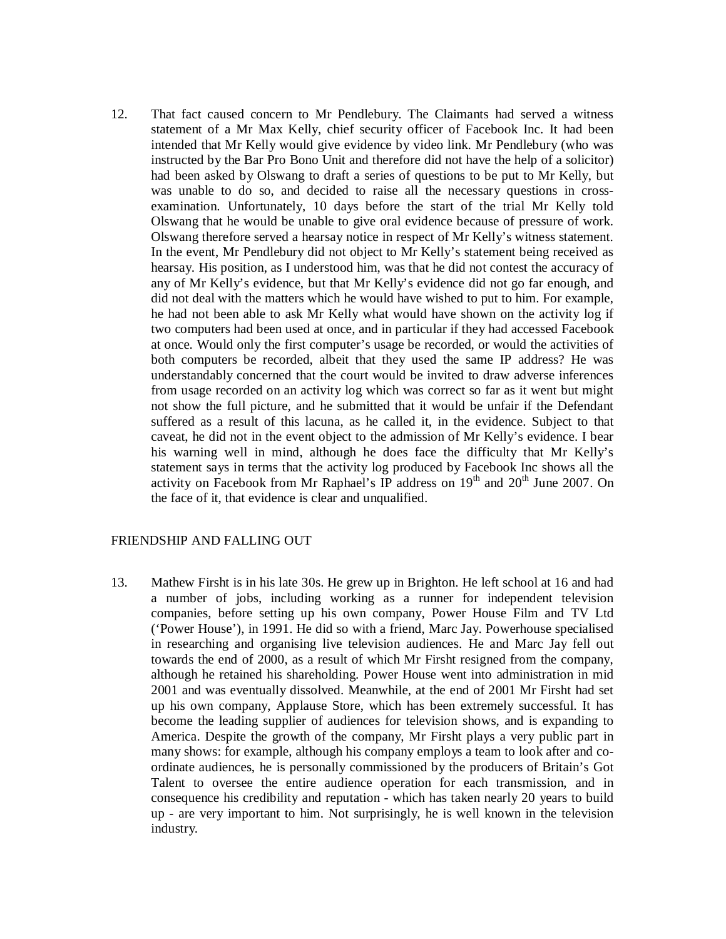12. That fact caused concern to Mr Pendlebury. The Claimants had served a witness statement of a Mr Max Kelly, chief security officer of Facebook Inc. It had been intended that Mr Kelly would give evidence by video link. Mr Pendlebury (who was instructed by the Bar Pro Bono Unit and therefore did not have the help of a solicitor) had been asked by Olswang to draft a series of questions to be put to Mr Kelly, but was unable to do so, and decided to raise all the necessary questions in crossexamination. Unfortunately, 10 days before the start of the trial Mr Kelly told Olswang that he would be unable to give oral evidence because of pressure of work. Olswang therefore served a hearsay notice in respect of Mr Kelly's witness statement. In the event, Mr Pendlebury did not object to Mr Kelly's statement being received as hearsay. His position, as I understood him, was that he did not contest the accuracy of any of Mr Kelly's evidence, but that Mr Kelly's evidence did not go far enough, and did not deal with the matters which he would have wished to put to him. For example, he had not been able to ask Mr Kelly what would have shown on the activity log if two computers had been used at once, and in particular if they had accessed Facebook at once. Would only the first computer's usage be recorded, or would the activities of both computers be recorded, albeit that they used the same IP address? He was understandably concerned that the court would be invited to draw adverse inferences from usage recorded on an activity log which was correct so far as it went but might not show the full picture, and he submitted that it would be unfair if the Defendant suffered as a result of this lacuna, as he called it, in the evidence. Subject to that caveat, he did not in the event object to the admission of Mr Kelly's evidence. I bear his warning well in mind, although he does face the difficulty that Mr Kelly's statement says in terms that the activity log produced by Facebook Inc shows all the activity on Facebook from Mr Raphael's IP address on  $19<sup>th</sup>$  and  $20<sup>th</sup>$  June 2007. On the face of it, that evidence is clear and unqualified.

### FRIENDSHIP AND FALLING OUT

13. Mathew Firsht is in his late 30s. He grew up in Brighton. He left school at 16 and had a number of jobs, including working as a runner for independent television companies, before setting up his own company, Power House Film and TV Ltd ('Power House'), in 1991. He did so with a friend, Marc Jay. Powerhouse specialised in researching and organising live television audiences. He and Marc Jay fell out towards the end of 2000, as a result of which Mr Firsht resigned from the company, although he retained his shareholding. Power House went into administration in mid 2001 and was eventually dissolved. Meanwhile, at the end of 2001 Mr Firsht had set up his own company, Applause Store, which has been extremely successful. It has become the leading supplier of audiences for television shows, and is expanding to America. Despite the growth of the company, Mr Firsht plays a very public part in many shows: for example, although his company employs a team to look after and coordinate audiences, he is personally commissioned by the producers of Britain's Got Talent to oversee the entire audience operation for each transmission, and in consequence his credibility and reputation - which has taken nearly 20 years to build up - are very important to him. Not surprisingly, he is well known in the television industry.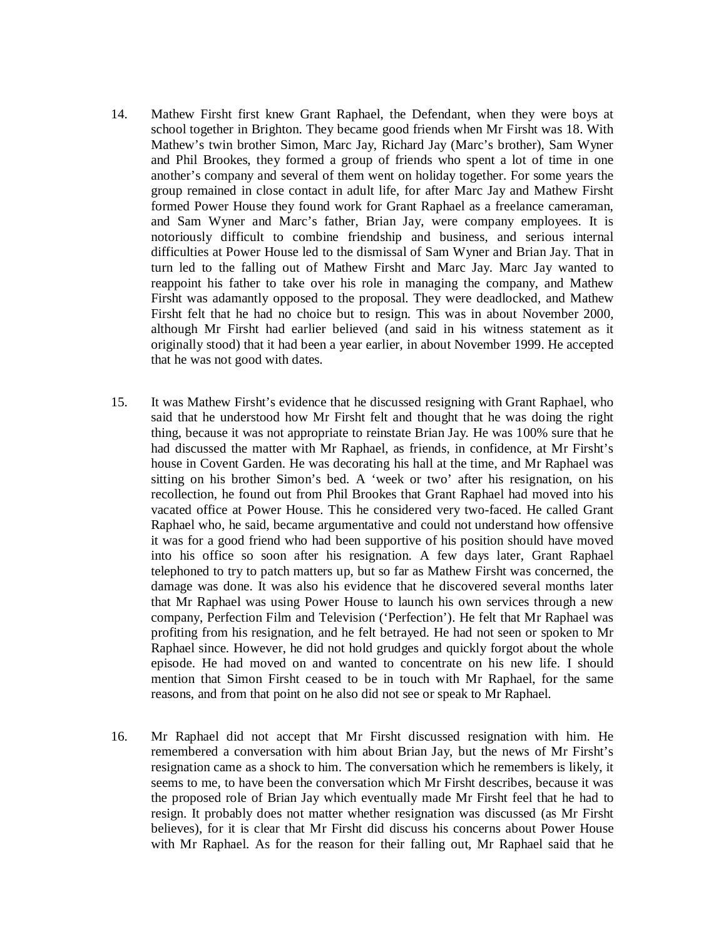- 14. Mathew Firsht first knew Grant Raphael, the Defendant, when they were boys at school together in Brighton. They became good friends when Mr Firsht was 18. With Mathew's twin brother Simon, Marc Jay, Richard Jay (Marc's brother), Sam Wyner and Phil Brookes, they formed a group of friends who spent a lot of time in one another's company and several of them went on holiday together. For some years the group remained in close contact in adult life, for after Marc Jay and Mathew Firsht formed Power House they found work for Grant Raphael as a freelance cameraman, and Sam Wyner and Marc's father, Brian Jay, were company employees. It is notoriously difficult to combine friendship and business, and serious internal difficulties at Power House led to the dismissal of Sam Wyner and Brian Jay. That in turn led to the falling out of Mathew Firsht and Marc Jay. Marc Jay wanted to reappoint his father to take over his role in managing the company, and Mathew Firsht was adamantly opposed to the proposal. They were deadlocked, and Mathew Firsht felt that he had no choice but to resign. This was in about November 2000, although Mr Firsht had earlier believed (and said in his witness statement as it originally stood) that it had been a year earlier, in about November 1999. He accepted that he was not good with dates.
- 15. It was Mathew Firsht's evidence that he discussed resigning with Grant Raphael, who said that he understood how Mr Firsht felt and thought that he was doing the right thing, because it was not appropriate to reinstate Brian Jay. He was 100% sure that he had discussed the matter with Mr Raphael, as friends, in confidence, at Mr Firsht's house in Covent Garden. He was decorating his hall at the time, and Mr Raphael was sitting on his brother Simon's bed. A 'week or two' after his resignation, on his recollection, he found out from Phil Brookes that Grant Raphael had moved into his vacated office at Power House. This he considered very two-faced. He called Grant Raphael who, he said, became argumentative and could not understand how offensive it was for a good friend who had been supportive of his position should have moved into his office so soon after his resignation. A few days later, Grant Raphael telephoned to try to patch matters up, but so far as Mathew Firsht was concerned, the damage was done. It was also his evidence that he discovered several months later that Mr Raphael was using Power House to launch his own services through a new company, Perfection Film and Television ('Perfection'). He felt that Mr Raphael was profiting from his resignation, and he felt betrayed. He had not seen or spoken to Mr Raphael since. However, he did not hold grudges and quickly forgot about the whole episode. He had moved on and wanted to concentrate on his new life. I should mention that Simon Firsht ceased to be in touch with Mr Raphael, for the same reasons, and from that point on he also did not see or speak to Mr Raphael.
- 16. Mr Raphael did not accept that Mr Firsht discussed resignation with him. He remembered a conversation with him about Brian Jay, but the news of Mr Firsht's resignation came as a shock to him. The conversation which he remembers is likely, it seems to me, to have been the conversation which Mr Firsht describes, because it was the proposed role of Brian Jay which eventually made Mr Firsht feel that he had to resign. It probably does not matter whether resignation was discussed (as Mr Firsht believes), for it is clear that Mr Firsht did discuss his concerns about Power House with Mr Raphael. As for the reason for their falling out, Mr Raphael said that he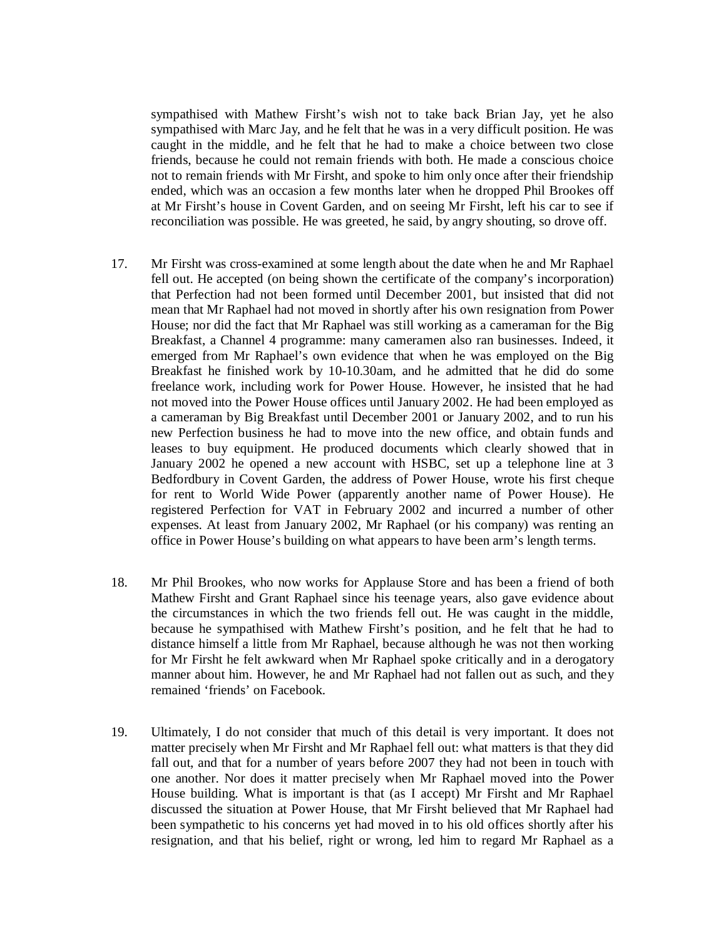sympathised with Mathew Firsht's wish not to take back Brian Jay, yet he also sympathised with Marc Jay, and he felt that he was in a very difficult position. He was caught in the middle, and he felt that he had to make a choice between two close friends, because he could not remain friends with both. He made a conscious choice not to remain friends with Mr Firsht, and spoke to him only once after their friendship ended, which was an occasion a few months later when he dropped Phil Brookes off at Mr Firsht's house in Covent Garden, and on seeing Mr Firsht, left his car to see if reconciliation was possible. He was greeted, he said, by angry shouting, so drove off.

- 17. Mr Firsht was cross-examined at some length about the date when he and Mr Raphael fell out. He accepted (on being shown the certificate of the company's incorporation) that Perfection had not been formed until December 2001, but insisted that did not mean that Mr Raphael had not moved in shortly after his own resignation from Power House; nor did the fact that Mr Raphael was still working as a cameraman for the Big Breakfast, a Channel 4 programme: many cameramen also ran businesses. Indeed, it emerged from Mr Raphael's own evidence that when he was employed on the Big Breakfast he finished work by 10-10.30am, and he admitted that he did do some freelance work, including work for Power House. However, he insisted that he had not moved into the Power House offices until January 2002. He had been employed as a cameraman by Big Breakfast until December 2001 or January 2002, and to run his new Perfection business he had to move into the new office, and obtain funds and leases to buy equipment. He produced documents which clearly showed that in January 2002 he opened a new account with HSBC, set up a telephone line at 3 Bedfordbury in Covent Garden, the address of Power House, wrote his first cheque for rent to World Wide Power (apparently another name of Power House). He registered Perfection for VAT in February 2002 and incurred a number of other expenses. At least from January 2002, Mr Raphael (or his company) was renting an office in Power House's building on what appears to have been arm's length terms.
- 18. Mr Phil Brookes, who now works for Applause Store and has been a friend of both Mathew Firsht and Grant Raphael since his teenage years, also gave evidence about the circumstances in which the two friends fell out. He was caught in the middle, because he sympathised with Mathew Firsht's position, and he felt that he had to distance himself a little from Mr Raphael, because although he was not then working for Mr Firsht he felt awkward when Mr Raphael spoke critically and in a derogatory manner about him. However, he and Mr Raphael had not fallen out as such, and they remained 'friends' on Facebook.
- 19. Ultimately, I do not consider that much of this detail is very important. It does not matter precisely when Mr Firsht and Mr Raphael fell out: what matters is that they did fall out, and that for a number of years before 2007 they had not been in touch with one another. Nor does it matter precisely when Mr Raphael moved into the Power House building. What is important is that (as I accept) Mr Firsht and Mr Raphael discussed the situation at Power House, that Mr Firsht believed that Mr Raphael had been sympathetic to his concerns yet had moved in to his old offices shortly after his resignation, and that his belief, right or wrong, led him to regard Mr Raphael as a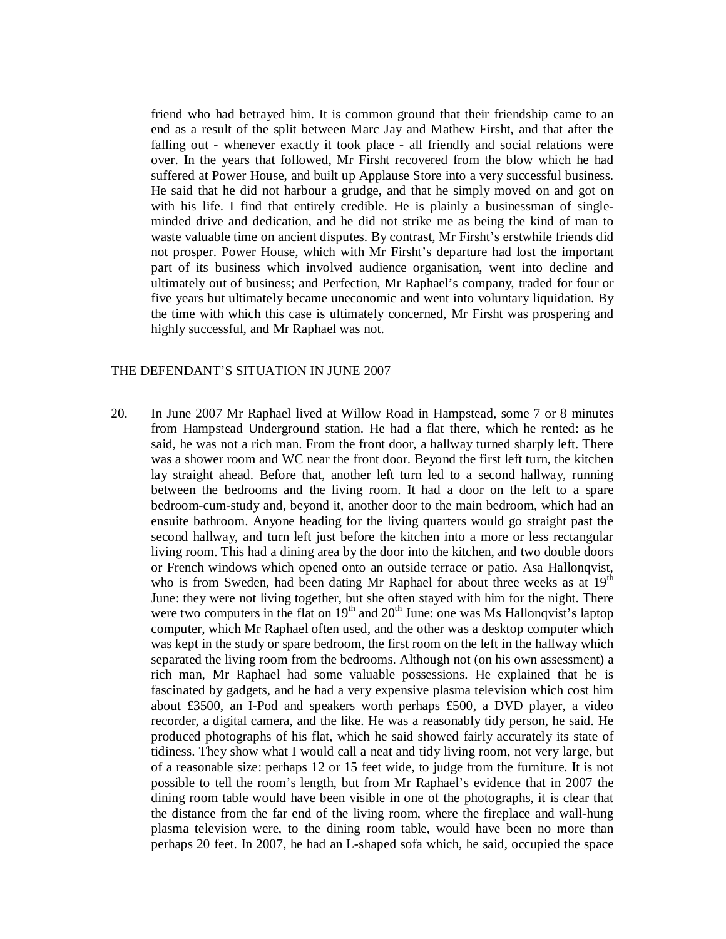friend who had betrayed him. It is common ground that their friendship came to an end as a result of the split between Marc Jay and Mathew Firsht, and that after the falling out - whenever exactly it took place - all friendly and social relations were over. In the years that followed, Mr Firsht recovered from the blow which he had suffered at Power House, and built up Applause Store into a very successful business. He said that he did not harbour a grudge, and that he simply moved on and got on with his life. I find that entirely credible. He is plainly a businessman of singleminded drive and dedication, and he did not strike me as being the kind of man to waste valuable time on ancient disputes. By contrast, Mr Firsht's erstwhile friends did not prosper. Power House, which with Mr Firsht's departure had lost the important part of its business which involved audience organisation, went into decline and ultimately out of business; and Perfection, Mr Raphael's company, traded for four or five years but ultimately became uneconomic and went into voluntary liquidation. By the time with which this case is ultimately concerned, Mr Firsht was prospering and highly successful, and Mr Raphael was not.

#### THE DEFENDANT'S SITUATION IN JUNE 2007

20. In June 2007 Mr Raphael lived at Willow Road in Hampstead, some 7 or 8 minutes from Hampstead Underground station. He had a flat there, which he rented: as he said, he was not a rich man. From the front door, a hallway turned sharply left. There was a shower room and WC near the front door. Beyond the first left turn, the kitchen lay straight ahead. Before that, another left turn led to a second hallway, running between the bedrooms and the living room. It had a door on the left to a spare bedroom-cum-study and, beyond it, another door to the main bedroom, which had an ensuite bathroom. Anyone heading for the living quarters would go straight past the second hallway, and turn left just before the kitchen into a more or less rectangular living room. This had a dining area by the door into the kitchen, and two double doors or French windows which opened onto an outside terrace or patio. Asa Hallonqvist, who is from Sweden, had been dating Mr Raphael for about three weeks as at 19<sup>th</sup> June: they were not living together, but she often stayed with him for the night. There were two computers in the flat on  $19<sup>th</sup>$  and  $20<sup>th</sup>$  June: one was Ms Hallonqvist's laptop computer, which Mr Raphael often used, and the other was a desktop computer which was kept in the study or spare bedroom, the first room on the left in the hallway which separated the living room from the bedrooms. Although not (on his own assessment) a rich man, Mr Raphael had some valuable possessions. He explained that he is fascinated by gadgets, and he had a very expensive plasma television which cost him about £3500, an I-Pod and speakers worth perhaps £500, a DVD player, a video recorder, a digital camera, and the like. He was a reasonably tidy person, he said. He produced photographs of his flat, which he said showed fairly accurately its state of tidiness. They show what I would call a neat and tidy living room, not very large, but of a reasonable size: perhaps 12 or 15 feet wide, to judge from the furniture. It is not possible to tell the room's length, but from Mr Raphael's evidence that in 2007 the dining room table would have been visible in one of the photographs, it is clear that the distance from the far end of the living room, where the fireplace and wall-hung plasma television were, to the dining room table, would have been no more than perhaps 20 feet. In 2007, he had an L-shaped sofa which, he said, occupied the space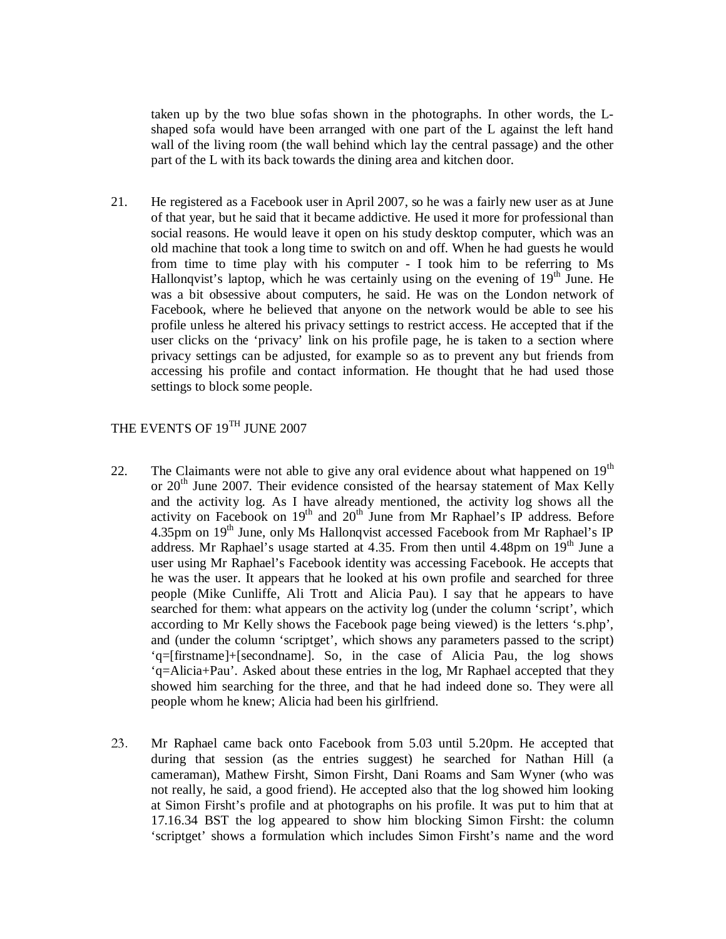taken up by the two blue sofas shown in the photographs. In other words, the Lshaped sofa would have been arranged with one part of the L against the left hand wall of the living room (the wall behind which lay the central passage) and the other part of the L with its back towards the dining area and kitchen door.

21. He registered as a Facebook user in April 2007, so he was a fairly new user as at June of that year, but he said that it became addictive. He used it more for professional than social reasons. He would leave it open on his study desktop computer, which was an old machine that took a long time to switch on and off. When he had guests he would from time to time play with his computer - I took him to be referring to Ms Hallonqvist's laptop, which he was certainly using on the evening of  $19<sup>th</sup>$  June. He was a bit obsessive about computers, he said. He was on the London network of Facebook, where he believed that anyone on the network would be able to see his profile unless he altered his privacy settings to restrict access. He accepted that if the user clicks on the 'privacy' link on his profile page, he is taken to a section where privacy settings can be adjusted, for example so as to prevent any but friends from accessing his profile and contact information. He thought that he had used those settings to block some people.

# THE EVENTS OF 19<sup>TH</sup> JUNE 2007

- 22. The Claimants were not able to give any oral evidence about what happened on  $19<sup>th</sup>$ or 20<sup>th</sup> June 2007. Their evidence consisted of the hearsay statement of Max Kelly and the activity log. As I have already mentioned, the activity log shows all the activity on Facebook on  $19<sup>th</sup>$  and  $20<sup>th</sup>$  June from Mr Raphael's IP address. Before 4.35pm on 19<sup>th</sup> June, only Ms Hallonqvist accessed Facebook from Mr Raphael's IP address. Mr Raphael's usage started at 4.35. From then until 4.48pm on  $19<sup>th</sup>$  June a user using Mr Raphael's Facebook identity was accessing Facebook. He accepts that he was the user. It appears that he looked at his own profile and searched for three people (Mike Cunliffe, Ali Trott and Alicia Pau). I say that he appears to have searched for them: what appears on the activity log (under the column 'script', which according to Mr Kelly shows the Facebook page being viewed) is the letters 's.php', and (under the column 'scriptget', which shows any parameters passed to the script) 'q=[firstname]+[secondname]. So, in the case of Alicia Pau, the log shows 'q=Alicia+Pau'. Asked about these entries in the log, Mr Raphael accepted that they showed him searching for the three, and that he had indeed done so. They were all people whom he knew; Alicia had been his girlfriend.
- 23. Mr Raphael came back onto Facebook from 5.03 until 5.20pm. He accepted that during that session (as the entries suggest) he searched for Nathan Hill (a cameraman), Mathew Firsht, Simon Firsht, Dani Roams and Sam Wyner (who was not really, he said, a good friend). He accepted also that the log showed him looking at Simon Firsht's profile and at photographs on his profile. It was put to him that at 17.16.34 BST the log appeared to show him blocking Simon Firsht: the column 'scriptget' shows a formulation which includes Simon Firsht's name and the word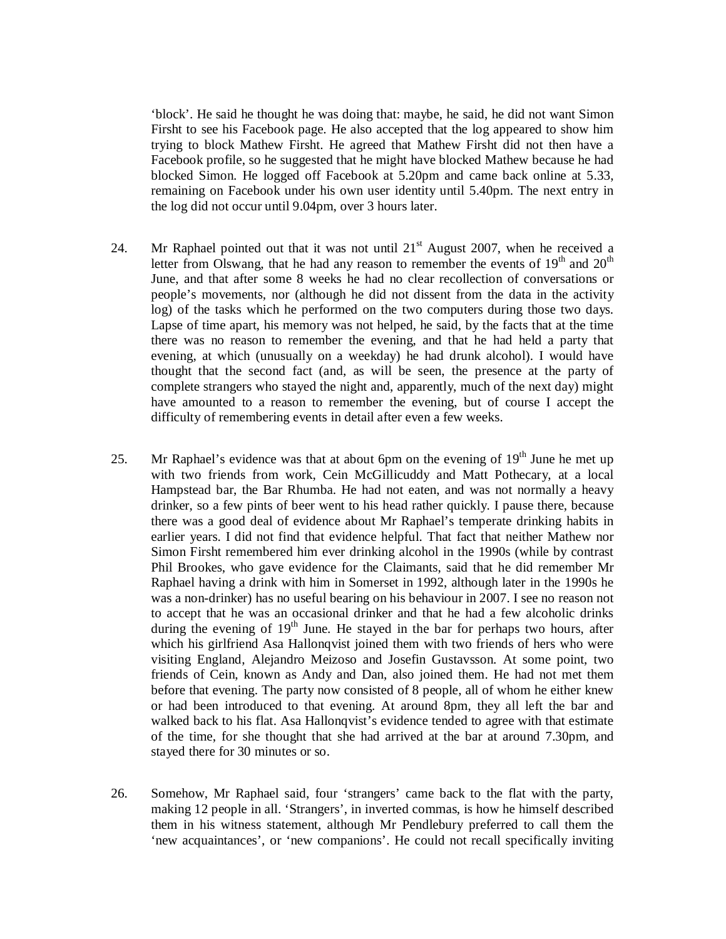'block'. He said he thought he was doing that: maybe, he said, he did not want Simon Firsht to see his Facebook page. He also accepted that the log appeared to show him trying to block Mathew Firsht. He agreed that Mathew Firsht did not then have a Facebook profile, so he suggested that he might have blocked Mathew because he had blocked Simon. He logged off Facebook at 5.20pm and came back online at 5.33, remaining on Facebook under his own user identity until 5.40pm. The next entry in the log did not occur until 9.04pm, over 3 hours later.

- 24. Mr Raphael pointed out that it was not until  $21<sup>st</sup>$  August 2007, when he received a letter from Olswang, that he had any reason to remember the events of  $19<sup>th</sup>$  and  $20<sup>th</sup>$ June, and that after some 8 weeks he had no clear recollection of conversations or people's movements, nor (although he did not dissent from the data in the activity log) of the tasks which he performed on the two computers during those two days. Lapse of time apart, his memory was not helped, he said, by the facts that at the time there was no reason to remember the evening, and that he had held a party that evening, at which (unusually on a weekday) he had drunk alcohol). I would have thought that the second fact (and, as will be seen, the presence at the party of complete strangers who stayed the night and, apparently, much of the next day) might have amounted to a reason to remember the evening, but of course I accept the difficulty of remembering events in detail after even a few weeks.
- 25. Mr Raphael's evidence was that at about 6pm on the evening of  $19<sup>th</sup>$  June he met up with two friends from work, Cein McGillicuddy and Matt Pothecary, at a local Hampstead bar, the Bar Rhumba. He had not eaten, and was not normally a heavy drinker, so a few pints of beer went to his head rather quickly. I pause there, because there was a good deal of evidence about Mr Raphael's temperate drinking habits in earlier years. I did not find that evidence helpful. That fact that neither Mathew nor Simon Firsht remembered him ever drinking alcohol in the 1990s (while by contrast Phil Brookes, who gave evidence for the Claimants, said that he did remember Mr Raphael having a drink with him in Somerset in 1992, although later in the 1990s he was a non-drinker) has no useful bearing on his behaviour in 2007. I see no reason not to accept that he was an occasional drinker and that he had a few alcoholic drinks during the evening of  $19<sup>th</sup>$  June. He stayed in the bar for perhaps two hours, after which his girlfriend Asa Hallonqvist joined them with two friends of hers who were visiting England, Alejandro Meizoso and Josefin Gustavsson. At some point, two friends of Cein, known as Andy and Dan, also joined them. He had not met them before that evening. The party now consisted of 8 people, all of whom he either knew or had been introduced to that evening. At around 8pm, they all left the bar and walked back to his flat. Asa Hallonqvist's evidence tended to agree with that estimate of the time, for she thought that she had arrived at the bar at around 7.30pm, and stayed there for 30 minutes or so.
- 26. Somehow, Mr Raphael said, four 'strangers' came back to the flat with the party, making 12 people in all. 'Strangers', in inverted commas, is how he himself described them in his witness statement, although Mr Pendlebury preferred to call them the 'new acquaintances', or 'new companions'. He could not recall specifically inviting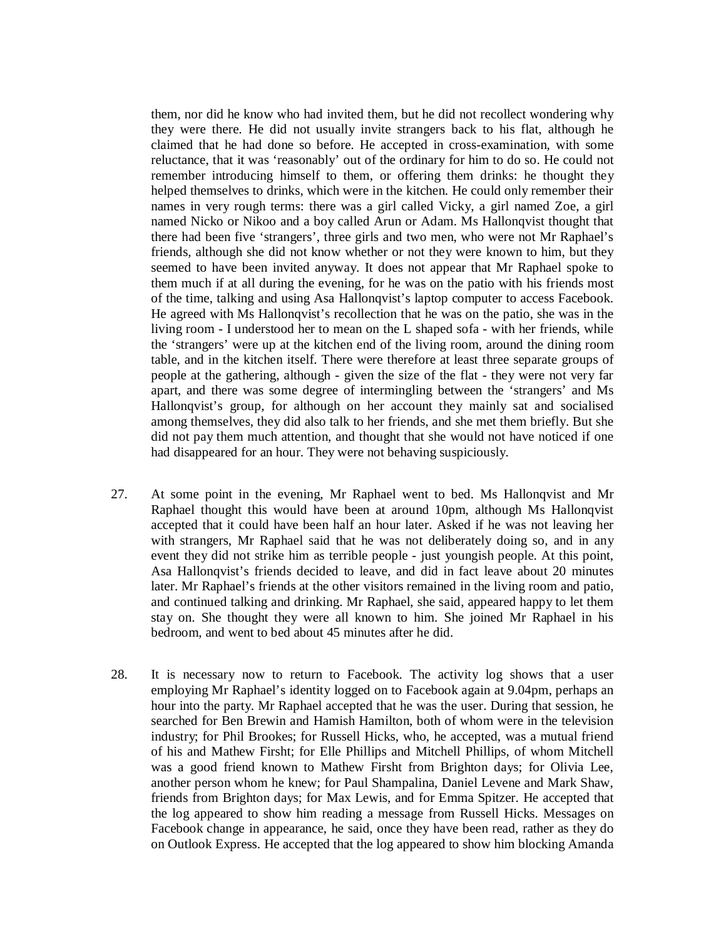them, nor did he know who had invited them, but he did not recollect wondering why they were there. He did not usually invite strangers back to his flat, although he claimed that he had done so before. He accepted in cross-examination, with some reluctance, that it was 'reasonably' out of the ordinary for him to do so. He could not remember introducing himself to them, or offering them drinks: he thought they helped themselves to drinks, which were in the kitchen. He could only remember their names in very rough terms: there was a girl called Vicky, a girl named Zoe, a girl named Nicko or Nikoo and a boy called Arun or Adam. Ms Hallonqvist thought that there had been five 'strangers', three girls and two men, who were not Mr Raphael's friends, although she did not know whether or not they were known to him, but they seemed to have been invited anyway. It does not appear that Mr Raphael spoke to them much if at all during the evening, for he was on the patio with his friends most of the time, talking and using Asa Hallonqvist's laptop computer to access Facebook. He agreed with Ms Hallonqvist's recollection that he was on the patio, she was in the living room - I understood her to mean on the L shaped sofa - with her friends, while the 'strangers' were up at the kitchen end of the living room, around the dining room table, and in the kitchen itself. There were therefore at least three separate groups of people at the gathering, although - given the size of the flat - they were not very far apart, and there was some degree of intermingling between the 'strangers' and Ms Hallonqvist's group, for although on her account they mainly sat and socialised among themselves, they did also talk to her friends, and she met them briefly. But she did not pay them much attention, and thought that she would not have noticed if one had disappeared for an hour. They were not behaving suspiciously.

- 27. At some point in the evening, Mr Raphael went to bed. Ms Hallonqvist and Mr Raphael thought this would have been at around 10pm, although Ms Hallonqvist accepted that it could have been half an hour later. Asked if he was not leaving her with strangers, Mr Raphael said that he was not deliberately doing so, and in any event they did not strike him as terrible people - just youngish people. At this point, Asa Hallonqvist's friends decided to leave, and did in fact leave about 20 minutes later. Mr Raphael's friends at the other visitors remained in the living room and patio, and continued talking and drinking. Mr Raphael, she said, appeared happy to let them stay on. She thought they were all known to him. She joined Mr Raphael in his bedroom, and went to bed about 45 minutes after he did.
- 28. It is necessary now to return to Facebook. The activity log shows that a user employing Mr Raphael's identity logged on to Facebook again at 9.04pm, perhaps an hour into the party. Mr Raphael accepted that he was the user. During that session, he searched for Ben Brewin and Hamish Hamilton, both of whom were in the television industry; for Phil Brookes; for Russell Hicks, who, he accepted, was a mutual friend of his and Mathew Firsht; for Elle Phillips and Mitchell Phillips, of whom Mitchell was a good friend known to Mathew Firsht from Brighton days; for Olivia Lee, another person whom he knew; for Paul Shampalina, Daniel Levene and Mark Shaw, friends from Brighton days; for Max Lewis, and for Emma Spitzer. He accepted that the log appeared to show him reading a message from Russell Hicks. Messages on Facebook change in appearance, he said, once they have been read, rather as they do on Outlook Express. He accepted that the log appeared to show him blocking Amanda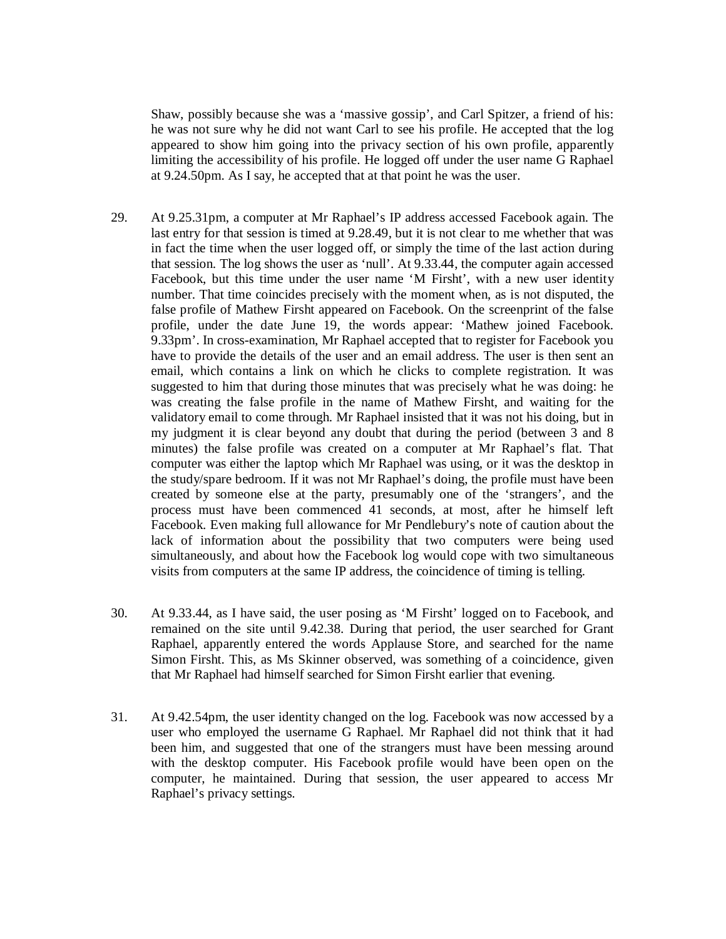Shaw, possibly because she was a 'massive gossip', and Carl Spitzer, a friend of his: he was not sure why he did not want Carl to see his profile. He accepted that the log appeared to show him going into the privacy section of his own profile, apparently limiting the accessibility of his profile. He logged off under the user name G Raphael at 9.24.50pm. As I say, he accepted that at that point he was the user.

- 29. At 9.25.31pm, a computer at Mr Raphael's IP address accessed Facebook again. The last entry for that session is timed at 9.28.49, but it is not clear to me whether that was in fact the time when the user logged off, or simply the time of the last action during that session. The log shows the user as 'null'. At 9.33.44, the computer again accessed Facebook, but this time under the user name 'M Firsht', with a new user identity number. That time coincides precisely with the moment when, as is not disputed, the false profile of Mathew Firsht appeared on Facebook. On the screenprint of the false profile, under the date June 19, the words appear: 'Mathew joined Facebook. 9.33pm'. In cross-examination, Mr Raphael accepted that to register for Facebook you have to provide the details of the user and an email address. The user is then sent an email, which contains a link on which he clicks to complete registration. It was suggested to him that during those minutes that was precisely what he was doing: he was creating the false profile in the name of Mathew Firsht, and waiting for the validatory email to come through. Mr Raphael insisted that it was not his doing, but in my judgment it is clear beyond any doubt that during the period (between 3 and 8 minutes) the false profile was created on a computer at Mr Raphael's flat. That computer was either the laptop which Mr Raphael was using, or it was the desktop in the study/spare bedroom. If it was not Mr Raphael's doing, the profile must have been created by someone else at the party, presumably one of the 'strangers', and the process must have been commenced 41 seconds, at most, after he himself left Facebook. Even making full allowance for Mr Pendlebury's note of caution about the lack of information about the possibility that two computers were being used simultaneously, and about how the Facebook log would cope with two simultaneous visits from computers at the same IP address, the coincidence of timing is telling.
- 30. At 9.33.44, as I have said, the user posing as 'M Firsht' logged on to Facebook, and remained on the site until 9.42.38. During that period, the user searched for Grant Raphael, apparently entered the words Applause Store, and searched for the name Simon Firsht. This, as Ms Skinner observed, was something of a coincidence, given that Mr Raphael had himself searched for Simon Firsht earlier that evening.
- 31. At 9.42.54pm, the user identity changed on the log. Facebook was now accessed by a user who employed the username G Raphael. Mr Raphael did not think that it had been him, and suggested that one of the strangers must have been messing around with the desktop computer. His Facebook profile would have been open on the computer, he maintained. During that session, the user appeared to access Mr Raphael's privacy settings.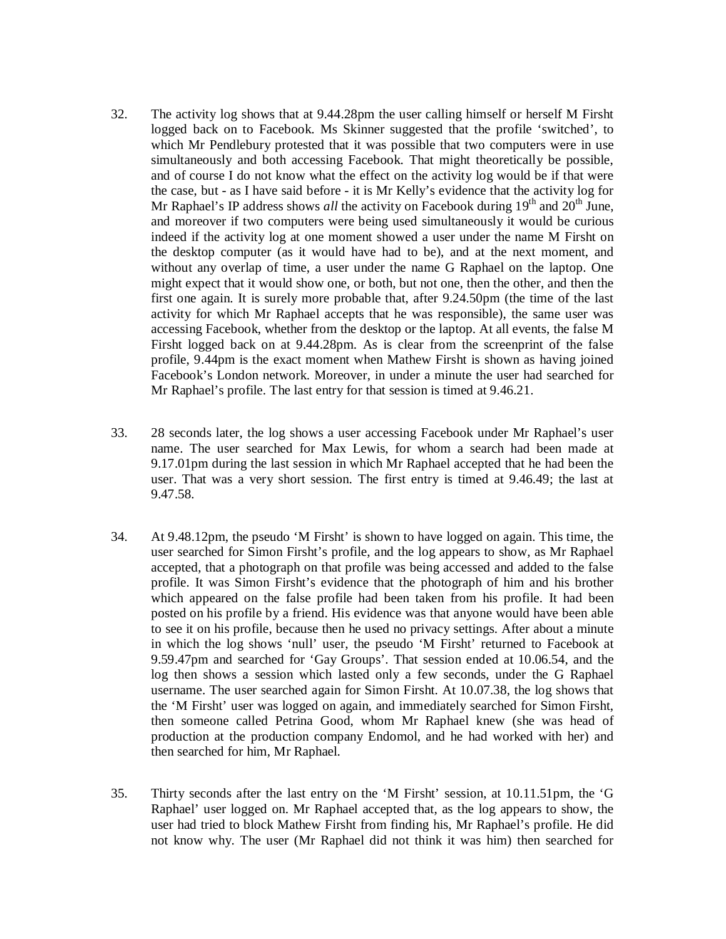- 32. The activity log shows that at 9.44.28pm the user calling himself or herself M Firsht logged back on to Facebook. Ms Skinner suggested that the profile 'switched', to which Mr Pendlebury protested that it was possible that two computers were in use simultaneously and both accessing Facebook. That might theoretically be possible, and of course I do not know what the effect on the activity log would be if that were the case, but - as I have said before - it is Mr Kelly's evidence that the activity log for Mr Raphael's IP address shows *all* the activity on Facebook during 19<sup>th</sup> and 20<sup>th</sup> June, and moreover if two computers were being used simultaneously it would be curious indeed if the activity log at one moment showed a user under the name M Firsht on the desktop computer (as it would have had to be), and at the next moment, and without any overlap of time, a user under the name G Raphael on the laptop. One might expect that it would show one, or both, but not one, then the other, and then the first one again. It is surely more probable that, after 9.24.50pm (the time of the last activity for which Mr Raphael accepts that he was responsible), the same user was accessing Facebook, whether from the desktop or the laptop. At all events, the false M Firsht logged back on at 9.44.28pm. As is clear from the screenprint of the false profile, 9.44pm is the exact moment when Mathew Firsht is shown as having joined Facebook's London network. Moreover, in under a minute the user had searched for Mr Raphael's profile. The last entry for that session is timed at 9.46.21.
- 33. 28 seconds later, the log shows a user accessing Facebook under Mr Raphael's user name. The user searched for Max Lewis, for whom a search had been made at 9.17.01pm during the last session in which Mr Raphael accepted that he had been the user. That was a very short session. The first entry is timed at 9.46.49; the last at 9.47.58.
- 34. At 9.48.12pm, the pseudo 'M Firsht' is shown to have logged on again. This time, the user searched for Simon Firsht's profile, and the log appears to show, as Mr Raphael accepted, that a photograph on that profile was being accessed and added to the false profile. It was Simon Firsht's evidence that the photograph of him and his brother which appeared on the false profile had been taken from his profile. It had been posted on his profile by a friend. His evidence was that anyone would have been able to see it on his profile, because then he used no privacy settings. After about a minute in which the log shows 'null' user, the pseudo 'M Firsht' returned to Facebook at 9.59.47pm and searched for 'Gay Groups'. That session ended at 10.06.54, and the log then shows a session which lasted only a few seconds, under the G Raphael username. The user searched again for Simon Firsht. At 10.07.38, the log shows that the 'M Firsht' user was logged on again, and immediately searched for Simon Firsht, then someone called Petrina Good, whom Mr Raphael knew (she was head of production at the production company Endomol, and he had worked with her) and then searched for him, Mr Raphael.
- 35. Thirty seconds after the last entry on the 'M Firsht' session, at 10.11.51pm, the 'G Raphael' user logged on. Mr Raphael accepted that, as the log appears to show, the user had tried to block Mathew Firsht from finding his, Mr Raphael's profile. He did not know why. The user (Mr Raphael did not think it was him) then searched for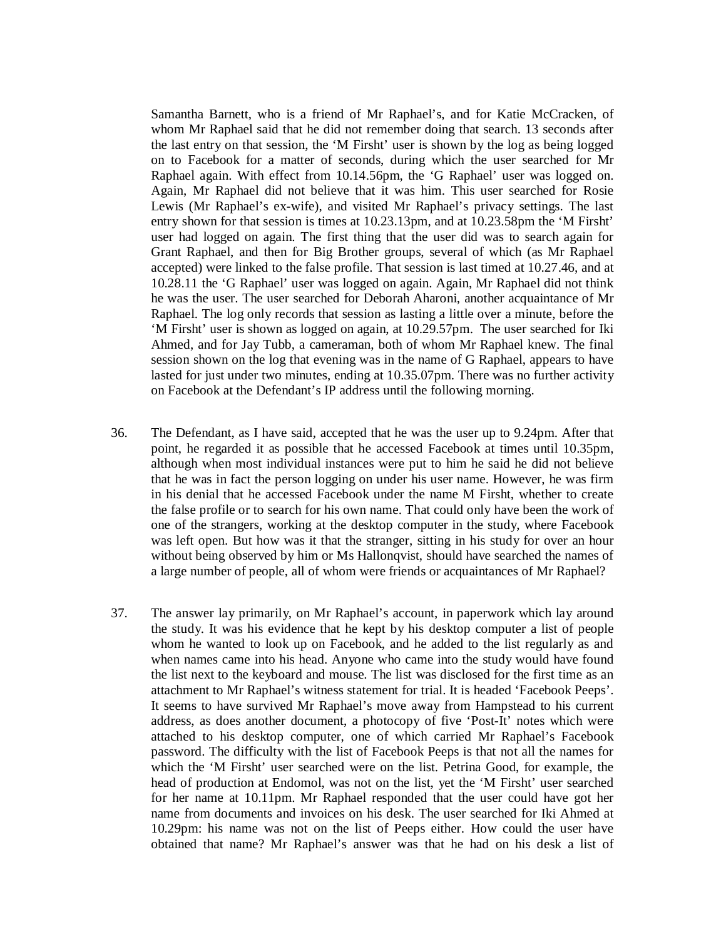Samantha Barnett, who is a friend of Mr Raphael's, and for Katie McCracken, of whom Mr Raphael said that he did not remember doing that search. 13 seconds after the last entry on that session, the 'M Firsht' user is shown by the log as being logged on to Facebook for a matter of seconds, during which the user searched for Mr Raphael again. With effect from 10.14.56pm, the 'G Raphael' user was logged on. Again, Mr Raphael did not believe that it was him. This user searched for Rosie Lewis (Mr Raphael's ex-wife), and visited Mr Raphael's privacy settings. The last entry shown for that session is times at 10.23.13pm, and at 10.23.58pm the 'M Firsht' user had logged on again. The first thing that the user did was to search again for Grant Raphael, and then for Big Brother groups, several of which (as Mr Raphael accepted) were linked to the false profile. That session is last timed at 10.27.46, and at 10.28.11 the 'G Raphael' user was logged on again. Again, Mr Raphael did not think he was the user. The user searched for Deborah Aharoni, another acquaintance of Mr Raphael. The log only records that session as lasting a little over a minute, before the 'M Firsht' user is shown as logged on again, at 10.29.57pm. The user searched for Iki Ahmed, and for Jay Tubb, a cameraman, both of whom Mr Raphael knew. The final session shown on the log that evening was in the name of G Raphael, appears to have lasted for just under two minutes, ending at 10.35.07pm. There was no further activity on Facebook at the Defendant's IP address until the following morning.

- 36. The Defendant, as I have said, accepted that he was the user up to 9.24pm. After that point, he regarded it as possible that he accessed Facebook at times until 10.35pm, although when most individual instances were put to him he said he did not believe that he was in fact the person logging on under his user name. However, he was firm in his denial that he accessed Facebook under the name M Firsht, whether to create the false profile or to search for his own name. That could only have been the work of one of the strangers, working at the desktop computer in the study, where Facebook was left open. But how was it that the stranger, sitting in his study for over an hour without being observed by him or Ms Hallonqvist, should have searched the names of a large number of people, all of whom were friends or acquaintances of Mr Raphael?
- 37. The answer lay primarily, on Mr Raphael's account, in paperwork which lay around the study. It was his evidence that he kept by his desktop computer a list of people whom he wanted to look up on Facebook, and he added to the list regularly as and when names came into his head. Anyone who came into the study would have found the list next to the keyboard and mouse. The list was disclosed for the first time as an attachment to Mr Raphael's witness statement for trial. It is headed 'Facebook Peeps'. It seems to have survived Mr Raphael's move away from Hampstead to his current address, as does another document, a photocopy of five 'Post-It' notes which were attached to his desktop computer, one of which carried Mr Raphael's Facebook password. The difficulty with the list of Facebook Peeps is that not all the names for which the 'M Firsht' user searched were on the list. Petrina Good, for example, the head of production at Endomol, was not on the list, yet the 'M Firsht' user searched for her name at 10.11pm. Mr Raphael responded that the user could have got her name from documents and invoices on his desk. The user searched for Iki Ahmed at 10.29pm: his name was not on the list of Peeps either. How could the user have obtained that name? Mr Raphael's answer was that he had on his desk a list of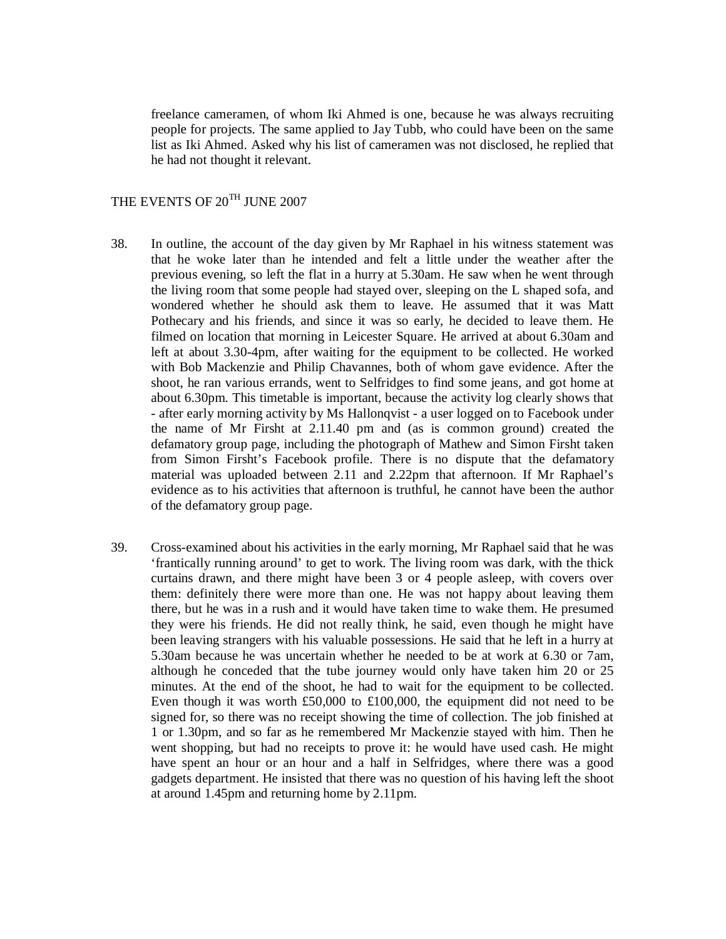freelance cameramen, of whom Iki Ahmed is one, because he was always recruiting people for projects. The same applied to Jay Tubb, who could have been on the same list as Iki Ahmed. Asked why his list of cameramen was not disclosed, he replied that he had not thought it relevant.

# THE EVENTS OF 20<sup>TH</sup> JUNE 2007

- 38. In outline, the account of the day given by Mr Raphael in his witness statement was that he woke later than he intended and felt a little under the weather after the previous evening, so left the flat in a hurry at 5.30am. He saw when he went through the living room that some people had stayed over, sleeping on the L shaped sofa, and wondered whether he should ask them to leave. He assumed that it was Matt Pothecary and his friends, and since it was so early, he decided to leave them. He filmed on location that morning in Leicester Square. He arrived at about 6.30am and left at about 3.30-4pm, after waiting for the equipment to be collected. He worked with Bob Mackenzie and Philip Chavannes, both of whom gave evidence. After the shoot, he ran various errands, went to Selfridges to find some jeans, and got home at about 6.30pm. This timetable is important, because the activity log clearly shows that - after early morning activity by Ms Hallonqvist - a user logged on to Facebook under the name of Mr Firsht at 2.11.40 pm and (as is common ground) created the defamatory group page, including the photograph of Mathew and Simon Firsht taken from Simon Firsht's Facebook profile. There is no dispute that the defamatory material was uploaded between 2.11 and 2.22pm that afternoon. If Mr Raphael's evidence as to his activities that afternoon is truthful, he cannot have been the author of the defamatory group page.
- 39. Cross-examined about his activities in the early morning, Mr Raphael said that he was 'frantically running around' to get to work. The living room was dark, with the thick curtains drawn, and there might have been 3 or 4 people asleep, with covers over them: definitely there were more than one. He was not happy about leaving them there, but he was in a rush and it would have taken time to wake them. He presumed they were his friends. He did not really think, he said, even though he might have been leaving strangers with his valuable possessions. He said that he left in a hurry at 5.30am because he was uncertain whether he needed to be at work at 6.30 or 7am, although he conceded that the tube journey would only have taken him 20 or 25 minutes. At the end of the shoot, he had to wait for the equipment to be collected. Even though it was worth £50,000 to £100,000, the equipment did not need to be signed for, so there was no receipt showing the time of collection. The job finished at 1 or 1.30pm, and so far as he remembered Mr Mackenzie stayed with him. Then he went shopping, but had no receipts to prove it: he would have used cash. He might have spent an hour or an hour and a half in Selfridges, where there was a good gadgets department. He insisted that there was no question of his having left the shoot at around 1.45pm and returning home by 2.11pm.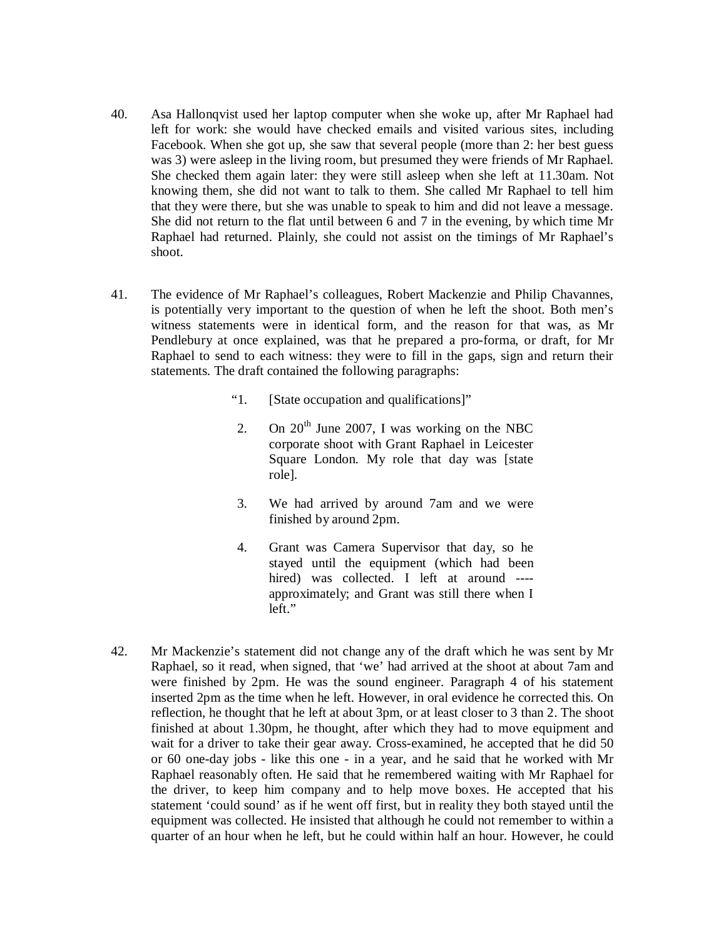- 40. Asa Hallonqvist used her laptop computer when she woke up, after Mr Raphael had left for work: she would have checked emails and visited various sites, including Facebook. When she got up, she saw that several people (more than 2: her best guess was 3) were asleep in the living room, but presumed they were friends of Mr Raphael. She checked them again later: they were still asleep when she left at 11.30am. Not knowing them, she did not want to talk to them. She called Mr Raphael to tell him that they were there, but she was unable to speak to him and did not leave a message. She did not return to the flat until between 6 and 7 in the evening, by which time Mr Raphael had returned. Plainly, she could not assist on the timings of Mr Raphael's shoot.
- 41. The evidence of Mr Raphael's colleagues, Robert Mackenzie and Philip Chavannes, is potentially very important to the question of when he left the shoot. Both men's witness statements were in identical form, and the reason for that was, as Mr Pendlebury at once explained, was that he prepared a pro-forma, or draft, for Mr Raphael to send to each witness: they were to fill in the gaps, sign and return their statements. The draft contained the following paragraphs:
	- " 1. [State occupation and qualifications]"
	- 2. On  $20<sup>th</sup>$  June 2007, I was working on the NBC corporate shoot with Grant Raphael in Leicester Square London. My role that day was [state role].
	- 3. We had arrived by around 7am and we were finished by around 2pm.
	- 4. Grant was Camera Supervisor that day, so he stayed until the equipment (which had been hired) was collected. I left at around ---approximately; and Grant was still there when I left."
- 42. Mr Mackenzie's statement did not change any of the draft which he was sent by Mr Raphael, so it read, when signed, that 'we' had arrived at the shoot at about 7am and were finished by 2pm. He was the sound engineer. Paragraph 4 of his statement inserted 2pm as the time when he left. However, in oral evidence he corrected this. On reflection, he thought that he left at about 3pm, or at least closer to 3 than 2. The shoot finished at about 1.30pm, he thought, after which they had to move equipment and wait for a driver to take their gear away. Cross-examined, he accepted that he did 50 or 60 one-day jobs - like this one - in a year, and he said that he worked with Mr Raphael reasonably often. He said that he remembered waiting with Mr Raphael for the driver, to keep him company and to help move boxes. He accepted that his statement 'could sound' as if he went off first, but in reality they both stayed until the equipment was collected. He insisted that although he could not remember to within a quarter of an hour when he left, but he could within half an hour. However, he could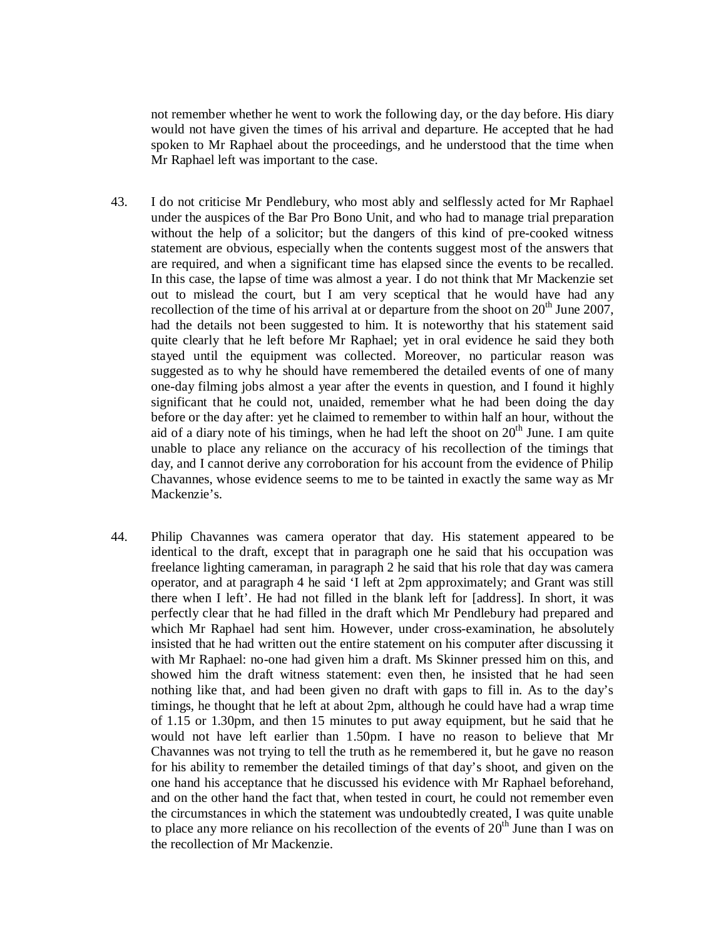not remember whether he went to work the following day, or the day before. His diary would not have given the times of his arrival and departure. He accepted that he had spoken to Mr Raphael about the proceedings, and he understood that the time when Mr Raphael left was important to the case.

- 43. I do not criticise Mr Pendlebury, who most ably and selflessly acted for Mr Raphael under the auspices of the Bar Pro Bono Unit, and who had to manage trial preparation without the help of a solicitor; but the dangers of this kind of pre-cooked witness statement are obvious, especially when the contents suggest most of the answers that are required, and when a significant time has elapsed since the events to be recalled. In this case, the lapse of time was almost a year. I do not think that Mr Mackenzie set out to mislead the court, but I am very sceptical that he would have had any recollection of the time of his arrival at or departure from the shoot on  $20^{th}$  June 2007, had the details not been suggested to him. It is noteworthy that his statement said quite clearly that he left before Mr Raphael; yet in oral evidence he said they both stayed until the equipment was collected. Moreover, no particular reason was suggested as to why he should have remembered the detailed events of one of many one-day filming jobs almost a year after the events in question, and I found it highly significant that he could not, unaided, remember what he had been doing the day before or the day after: yet he claimed to remember to within half an hour, without the aid of a diary note of his timings, when he had left the shoot on  $20<sup>th</sup>$  June. I am quite unable to place any reliance on the accuracy of his recollection of the timings that day, and I cannot derive any corroboration for his account from the evidence of Philip Chavannes, whose evidence seems to me to be tainted in exactly the same way as Mr Mackenzie's.
- 44. Philip Chavannes was camera operator that day. His statement appeared to be identical to the draft, except that in paragraph one he said that his occupation was freelance lighting cameraman, in paragraph 2 he said that his role that day was camera operator, and at paragraph 4 he said 'I left at 2pm approximately; and Grant was still there when I left'. He had not filled in the blank left for [address]. In short, it was perfectly clear that he had filled in the draft which Mr Pendlebury had prepared and which Mr Raphael had sent him. However, under cross-examination, he absolutely insisted that he had written out the entire statement on his computer after discussing it with Mr Raphael: no-one had given him a draft. Ms Skinner pressed him on this, and showed him the draft witness statement: even then, he insisted that he had seen nothing like that, and had been given no draft with gaps to fill in. As to the day's timings, he thought that he left at about 2pm, although he could have had a wrap time of 1.15 or 1.30pm, and then 15 minutes to put away equipment, but he said that he would not have left earlier than 1.50pm. I have no reason to believe that Mr Chavannes was not trying to tell the truth as he remembered it, but he gave no reason for his ability to remember the detailed timings of that day's shoot, and given on the one hand his acceptance that he discussed his evidence with Mr Raphael beforehand, and on the other hand the fact that, when tested in court, he could not remember even the circumstances in which the statement was undoubtedly created, I was quite unable to place any more reliance on his recollection of the events of  $20<sup>th</sup>$  June than I was on the recollection of Mr Mackenzie.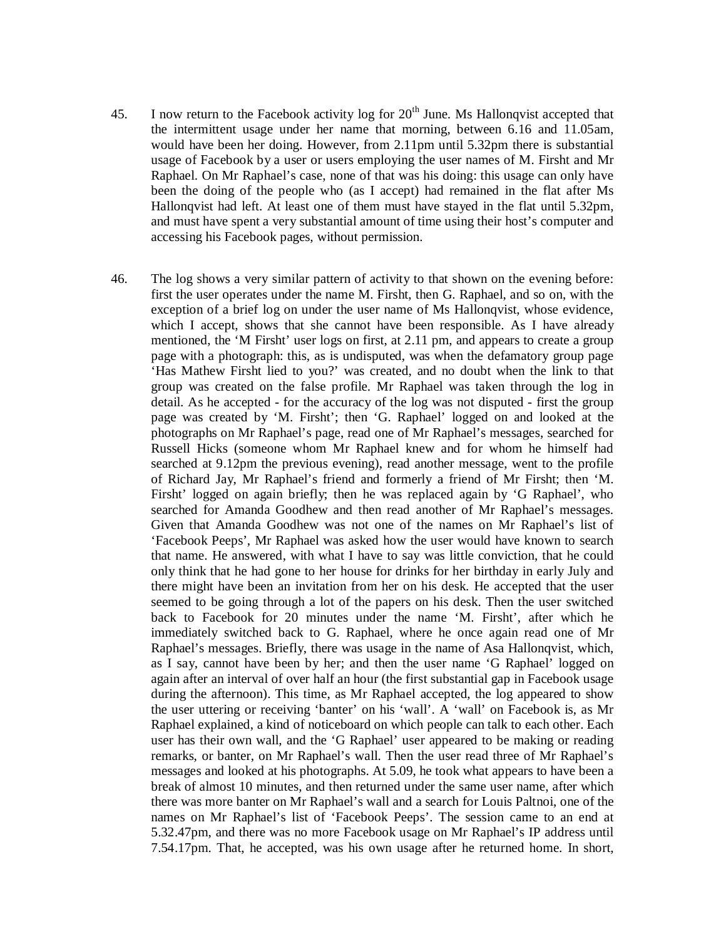- 45. I now return to the Facebook activity log for  $20<sup>th</sup>$  June. Ms Hallonqvist accepted that the intermittent usage under her name that morning, between 6.16 and 11.05am, would have been her doing. However, from 2.11pm until 5.32pm there is substantial usage of Facebook by a user or users employing the user names of M. Firsht and Mr Raphael. On Mr Raphael's case, none of that was his doing: this usage can only have been the doing of the people who (as I accept) had remained in the flat after Ms Hallonqvist had left. At least one of them must have stayed in the flat until 5.32pm, and must have spent a very substantial amount of time using their host's computer and accessing his Facebook pages, without permission.
- 46. The log shows a very similar pattern of activity to that shown on the evening before: first the user operates under the name M. Firsht, then G. Raphael, and so on, with the exception of a brief log on under the user name of Ms Hallonqvist, whose evidence, which I accept, shows that she cannot have been responsible. As I have already mentioned, the 'M Firsht' user logs on first, at 2.11 pm, and appears to create a group page with a photograph: this, as is undisputed, was when the defamatory group page 'Has Mathew Firsht lied to you?' was created, and no doubt when the link to that group was created on the false profile. Mr Raphael was taken through the log in detail. As he accepted - for the accuracy of the log was not disputed - first the group page was created by 'M. Firsht'; then 'G. Raphael' logged on and looked at the photographs on Mr Raphael's page, read one of Mr Raphael's messages, searched for Russell Hicks (someone whom Mr Raphael knew and for whom he himself had searched at 9.12pm the previous evening), read another message, went to the profile of Richard Jay, Mr Raphael's friend and formerly a friend of Mr Firsht; then 'M. Firsht' logged on again briefly; then he was replaced again by 'G Raphael', who searched for Amanda Goodhew and then read another of Mr Raphael's messages. Given that Amanda Goodhew was not one of the names on Mr Raphael's list of 'Facebook Peeps', Mr Raphael was asked how the user would have known to search that name. He answered, with what I have to say was little conviction, that he could only think that he had gone to her house for drinks for her birthday in early July and there might have been an invitation from her on his desk. He accepted that the user seemed to be going through a lot of the papers on his desk. Then the user switched back to Facebook for 20 minutes under the name 'M. Firsht', after which he immediately switched back to G. Raphael, where he once again read one of Mr Raphael's messages. Briefly, there was usage in the name of Asa Hallonqvist, which, as I say, cannot have been by her; and then the user name 'G Raphael' logged on again after an interval of over half an hour (the first substantial gap in Facebook usage during the afternoon). This time, as Mr Raphael accepted, the log appeared to show the user uttering or receiving 'banter' on his 'wall'. A 'wall' on Facebook is, as Mr Raphael explained, a kind of noticeboard on which people can talk to each other. Each user has their own wall, and the 'G Raphael' user appeared to be making or reading remarks, or banter, on Mr Raphael's wall. Then the user read three of Mr Raphael's messages and looked at his photographs. At 5.09, he took what appears to have been a break of almost 10 minutes, and then returned under the same user name, after which there was more banter on Mr Raphael's wall and a search for Louis Paltnoi, one of the names on Mr Raphael's list of 'Facebook Peeps'. The session came to an end at 5.32.47pm, and there was no more Facebook usage on Mr Raphael's IP address until 7.54.17pm. That, he accepted, was his own usage after he returned home. In short,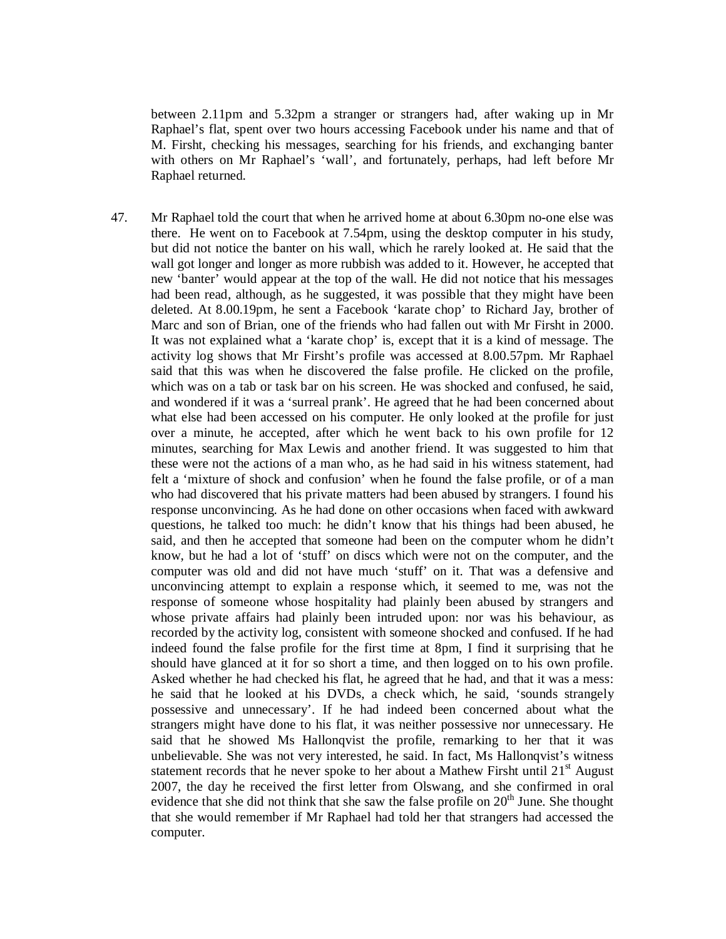between 2.11pm and 5.32pm a stranger or strangers had, after waking up in Mr Raphael's flat, spent over two hours accessing Facebook under his name and that of M. Firsht, checking his messages, searching for his friends, and exchanging banter with others on Mr Raphael's 'wall', and fortunately, perhaps, had left before Mr Raphael returned.

47. Mr Raphael told the court that when he arrived home at about 6.30pm no-one else was there. He went on to Facebook at 7.54pm, using the desktop computer in his study, but did not notice the banter on his wall, which he rarely looked at. He said that the wall got longer and longer as more rubbish was added to it. However, he accepted that new 'banter' would appear at the top of the wall. He did not notice that his messages had been read, although, as he suggested, it was possible that they might have been deleted. At 8.00.19pm, he sent a Facebook 'karate chop' to Richard Jay, brother of Marc and son of Brian, one of the friends who had fallen out with Mr Firsht in 2000. It was not explained what a 'karate chop' is, except that it is a kind of message. The activity log shows that Mr Firsht's profile was accessed at 8.00.57pm. Mr Raphael said that this was when he discovered the false profile. He clicked on the profile, which was on a tab or task bar on his screen. He was shocked and confused, he said, and wondered if it was a 'surreal prank'. He agreed that he had been concerned about what else had been accessed on his computer. He only looked at the profile for just over a minute, he accepted, after which he went back to his own profile for 12 minutes, searching for Max Lewis and another friend. It was suggested to him that these were not the actions of a man who, as he had said in his witness statement, had felt a 'mixture of shock and confusion' when he found the false profile, or of a man who had discovered that his private matters had been abused by strangers. I found his response unconvincing. As he had done on other occasions when faced with awkward questions, he talked too much: he didn't know that his things had been abused, he said, and then he accepted that someone had been on the computer whom he didn't know, but he had a lot of 'stuff' on discs which were not on the computer, and the computer was old and did not have much 'stuff' on it. That was a defensive and unconvincing attempt to explain a response which, it seemed to me, was not the response of someone whose hospitality had plainly been abused by strangers and whose private affairs had plainly been intruded upon: nor was his behaviour, as recorded by the activity log, consistent with someone shocked and confused. If he had indeed found the false profile for the first time at 8pm, I find it surprising that he should have glanced at it for so short a time, and then logged on to his own profile. Asked whether he had checked his flat, he agreed that he had, and that it was a mess: he said that he looked at his DVDs, a check which, he said, 'sounds strangely possessive and unnecessary'. If he had indeed been concerned about what the strangers might have done to his flat, it was neither possessive nor unnecessary. He said that he showed Ms Hallonqvist the profile, remarking to her that it was unbelievable. She was not very interested, he said. In fact, Ms Hallonqvist's witness statement records that he never spoke to her about a Mathew Firsht until  $21<sup>st</sup>$  August 2007, the day he received the first letter from Olswang, and she confirmed in oral evidence that she did not think that she saw the false profile on  $20<sup>th</sup>$  June. She thought that she would remember if Mr Raphael had told her that strangers had accessed the computer.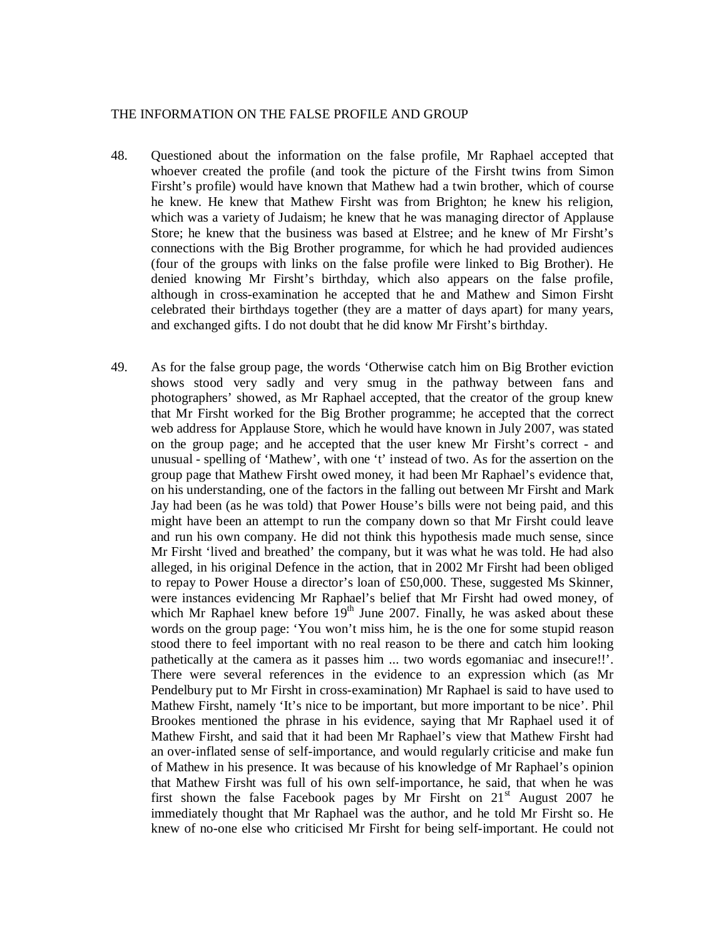#### THE INFORMATION ON THE FALSE PROFILE AND GROUP

- 48. Questioned about the information on the false profile, Mr Raphael accepted that whoever created the profile (and took the picture of the Firsht twins from Simon Firsht's profile) would have known that Mathew had a twin brother, which of course he knew. He knew that Mathew Firsht was from Brighton; he knew his religion, which was a variety of Judaism; he knew that he was managing director of Applause Store; he knew that the business was based at Elstree; and he knew of Mr Firsht's connections with the Big Brother programme, for which he had provided audiences (four of the groups with links on the false profile were linked to Big Brother). He denied knowing Mr Firsht's birthday, which also appears on the false profile, although in cross-examination he accepted that he and Mathew and Simon Firsht celebrated their birthdays together (they are a matter of days apart) for many years, and exchanged gifts. I do not doubt that he did know Mr Firsht's birthday.
- 49. As for the false group page, the words 'Otherwise catch him on Big Brother eviction shows stood very sadly and very smug in the pathway between fans and photographers' showed, as Mr Raphael accepted, that the creator of the group knew that Mr Firsht worked for the Big Brother programme; he accepted that the correct web address for Applause Store, which he would have known in July 2007, was stated on the group page; and he accepted that the user knew Mr Firsht's correct - and unusual - spelling of 'Mathew', with one 't' instead of two. As for the assertion on the group page that Mathew Firsht owed money, it had been Mr Raphael's evidence that, on his understanding, one of the factors in the falling out between Mr Firsht and Mark Jay had been (as he was told) that Power House's bills were not being paid, and this might have been an attempt to run the company down so that Mr Firsht could leave and run his own company. He did not think this hypothesis made much sense, since Mr Firsht 'lived and breathed' the company, but it was what he was told. He had also alleged, in his original Defence in the action, that in 2002 Mr Firsht had been obliged to repay to Power House a director's loan of £50,000. These, suggested Ms Skinner, were instances evidencing Mr Raphael's belief that Mr Firsht had owed money, of which Mr Raphael knew before  $19<sup>th</sup>$  June 2007. Finally, he was asked about these words on the group page: 'You won't miss him, he is the one for some stupid reason stood there to feel important with no real reason to be there and catch him looking pathetically at the camera as it passes him ... two words egomaniac and insecure!!'. There were several references in the evidence to an expression which (as Mr Pendelbury put to Mr Firsht in cross-examination) Mr Raphael is said to have used to Mathew Firsht, namely 'It's nice to be important, but more important to be nice'. Phil Brookes mentioned the phrase in his evidence, saying that Mr Raphael used it of Mathew Firsht, and said that it had been Mr Raphael's view that Mathew Firsht had an over-inflated sense of self-importance, and would regularly criticise and make fun of Mathew in his presence. It was because of his knowledge of Mr Raphael's opinion that Mathew Firsht was full of his own self-importance, he said, that when he was first shown the false Facebook pages by Mr Firsht on  $21<sup>st</sup>$  August 2007 he immediately thought that Mr Raphael was the author, and he told Mr Firsht so. He knew of no-one else who criticised Mr Firsht for being self-important. He could not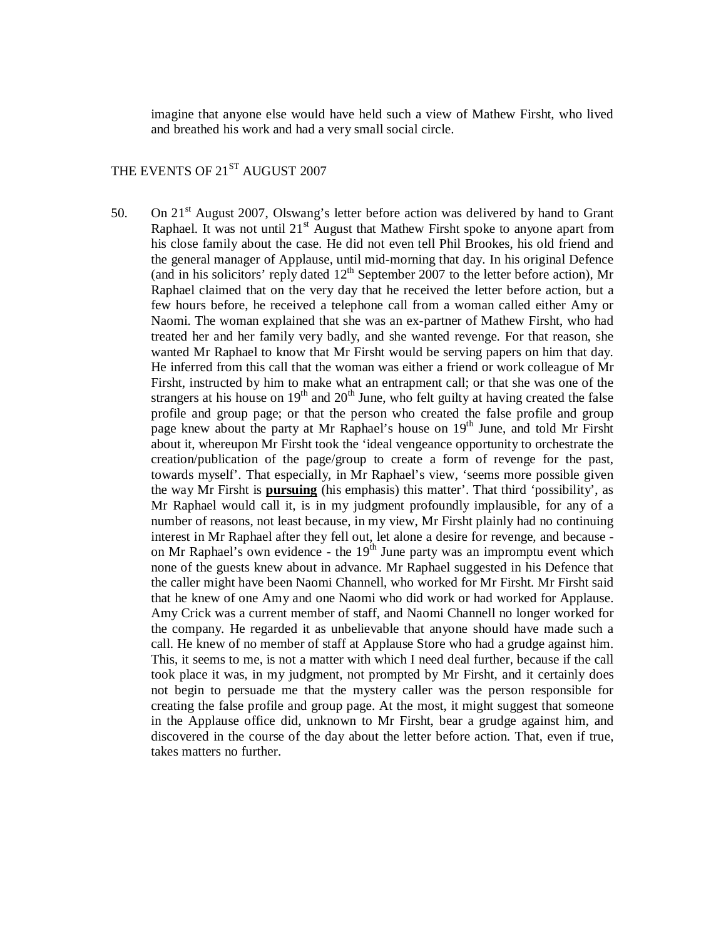imagine that anyone else would have held such a view of Mathew Firsht, who lived and breathed his work and had a very small social circle.

# THE EVENTS OF 21<sup>ST</sup> AUGUST 2007

50. On  $21<sup>st</sup>$  August 2007, Olswang's letter before action was delivered by hand to Grant Raphael. It was not until  $21<sup>st</sup>$  August that Mathew Firsht spoke to anyone apart from his close family about the case. He did not even tell Phil Brookes, his old friend and the general manager of Applause, until mid-morning that day. In his original Defence (and in his solicitors' reply dated  $12<sup>th</sup>$  September 2007 to the letter before action), Mr Raphael claimed that on the very day that he received the letter before action, but a few hours before, he received a telephone call from a woman called either Amy or Naomi. The woman explained that she was an ex-partner of Mathew Firsht, who had treated her and her family very badly, and she wanted revenge. For that reason, she wanted Mr Raphael to know that Mr Firsht would be serving papers on him that day. He inferred from this call that the woman was either a friend or work colleague of Mr Firsht, instructed by him to make what an entrapment call; or that she was one of the strangers at his house on  $19<sup>th</sup>$  and  $20<sup>th</sup>$  June, who felt guilty at having created the false profile and group page; or that the person who created the false profile and group page knew about the party at Mr Raphael's house on 19<sup>th</sup> June, and told Mr Firsht about it, whereupon Mr Firsht took the 'ideal vengeance opportunity to orchestrate the creation/publication of the page/group to create a form of revenge for the past, towards myself'. That especially, in Mr Raphael's view, 'seems more possible given the way Mr Firsht is **pursuing** (his emphasis) this matter'. That third 'possibility', as Mr Raphael would call it, is in my judgment profoundly implausible, for any of a number of reasons, not least because, in my view, Mr Firsht plainly had no continuing interest in Mr Raphael after they fell out, let alone a desire for revenge, and because on Mr Raphael's own evidence - the  $19<sup>th</sup>$  June party was an impromptu event which none of the guests knew about in advance. Mr Raphael suggested in his Defence that the caller might have been Naomi Channell, who worked for Mr Firsht. Mr Firsht said that he knew of one Amy and one Naomi who did work or had worked for Applause. Amy Crick was a current member of staff, and Naomi Channell no longer worked for the company. He regarded it as unbelievable that anyone should have made such a call. He knew of no member of staff at Applause Store who had a grudge against him. This, it seems to me, is not a matter with which I need deal further, because if the call took place it was, in my judgment, not prompted by Mr Firsht, and it certainly does not begin to persuade me that the mystery caller was the person responsible for creating the false profile and group page. At the most, it might suggest that someone in the Applause office did, unknown to Mr Firsht, bear a grudge against him, and discovered in the course of the day about the letter before action. That, even if true, takes matters no further.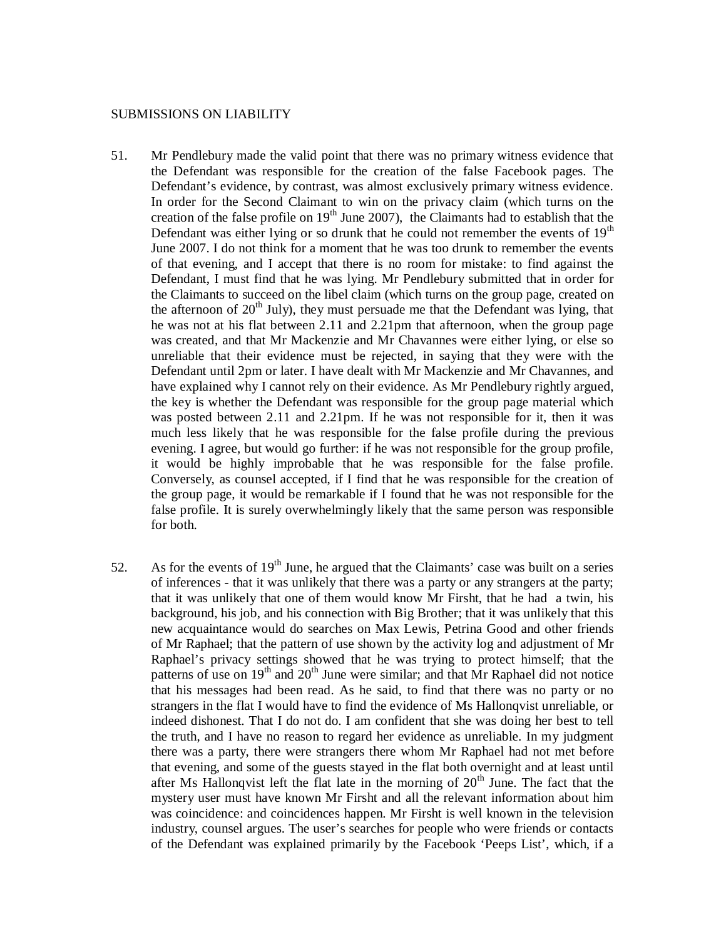#### SUBMISSIONS ON LIABILITY

- 51. Mr Pendlebury made the valid point that there was no primary witness evidence that the Defendant was responsible for the creation of the false Facebook pages. The Defendant's evidence, by contrast, was almost exclusively primary witness evidence. In order for the Second Claimant to win on the privacy claim (which turns on the creation of the false profile on  $19<sup>th</sup>$  June 2007), the Claimants had to establish that the Defendant was either lying or so drunk that he could not remember the events of  $19<sup>th</sup>$ June 2007. I do not think for a moment that he was too drunk to remember the events of that evening, and I accept that there is no room for mistake: to find against the Defendant, I must find that he was lying. Mr Pendlebury submitted that in order for the Claimants to succeed on the libel claim (which turns on the group page, created on the afternoon of  $20<sup>th</sup>$  July), they must persuade me that the Defendant was lying, that he was not at his flat between 2.11 and 2.21pm that afternoon, when the group page was created, and that Mr Mackenzie and Mr Chavannes were either lying, or else so unreliable that their evidence must be rejected, in saying that they were with the Defendant until 2pm or later. I have dealt with Mr Mackenzie and Mr Chavannes, and have explained why I cannot rely on their evidence. As Mr Pendlebury rightly argued, the key is whether the Defendant was responsible for the group page material which was posted between 2.11 and 2.21pm. If he was not responsible for it, then it was much less likely that he was responsible for the false profile during the previous evening. I agree, but would go further: if he was not responsible for the group profile, it would be highly improbable that he was responsible for the false profile. Conversely, as counsel accepted, if I find that he was responsible for the creation of the group page, it would be remarkable if I found that he was not responsible for the false profile. It is surely overwhelmingly likely that the same person was responsible for both.
- 52. As for the events of  $19<sup>th</sup>$  June, he argued that the Claimants' case was built on a series of inferences - that it was unlikely that there was a party or any strangers at the party; that it was unlikely that one of them would know Mr Firsht, that he had a twin, his background, his job, and his connection with Big Brother; that it was unlikely that this new acquaintance would do searches on Max Lewis, Petrina Good and other friends of Mr Raphael; that the pattern of use shown by the activity log and adjustment of Mr Raphael's privacy settings showed that he was trying to protect himself; that the patterns of use on  $19<sup>th</sup>$  and  $20<sup>th</sup>$  June were similar; and that Mr Raphael did not notice that his messages had been read. As he said, to find that there was no party or no strangers in the flat I would have to find the evidence of Ms Hallonqvist unreliable, or indeed dishonest. That I do not do. I am confident that she was doing her best to tell the truth, and I have no reason to regard her evidence as unreliable. In my judgment there was a party, there were strangers there whom Mr Raphael had not met before that evening, and some of the guests stayed in the flat both overnight and at least until after Ms Hallonqvist left the flat late in the morning of  $20<sup>th</sup>$  June. The fact that the mystery user must have known Mr Firsht and all the relevant information about him was coincidence: and coincidences happen. Mr Firsht is well known in the television industry, counsel argues. The user's searches for people who were friends or contacts of the Defendant was explained primarily by the Facebook 'Peeps List', which, if a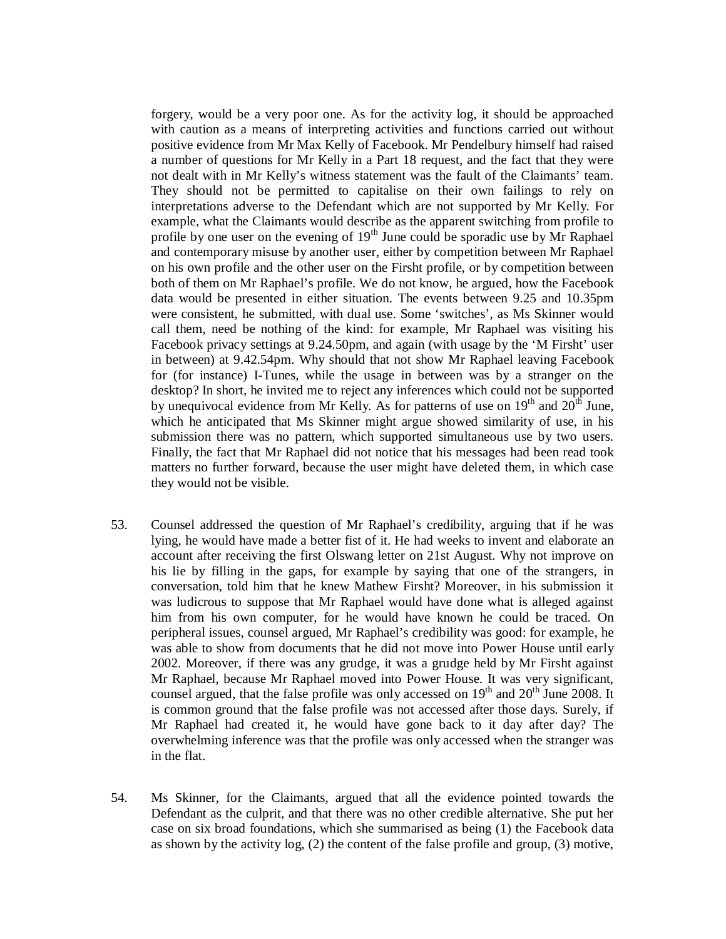forgery, would be a very poor one. As for the activity log, it should be approached with caution as a means of interpreting activities and functions carried out without positive evidence from Mr Max Kelly of Facebook. Mr Pendelbury himself had raised a number of questions for Mr Kelly in a Part 18 request, and the fact that they were not dealt with in Mr Kelly's witness statement was the fault of the Claimants' team. They should not be permitted to capitalise on their own failings to rely on interpretations adverse to the Defendant which are not supported by Mr Kelly. For example, what the Claimants would describe as the apparent switching from profile to profile by one user on the evening of  $19<sup>th</sup>$  June could be sporadic use by Mr Raphael and contemporary misuse by another user, either by competition between Mr Raphael on his own profile and the other user on the Firsht profile, or by competition between both of them on Mr Raphael's profile. We do not know, he argued, how the Facebook data would be presented in either situation. The events between 9.25 and 10.35pm were consistent, he submitted, with dual use. Some 'switches', as Ms Skinner would call them, need be nothing of the kind: for example, Mr Raphael was visiting his Facebook privacy settings at 9.24.50pm, and again (with usage by the 'M Firsht' user in between) at 9.42.54pm. Why should that not show Mr Raphael leaving Facebook for (for instance) I-Tunes, while the usage in between was by a stranger on the desktop? In short, he invited me to reject any inferences which could not be supported by unequivocal evidence from Mr Kelly. As for patterns of use on  $19<sup>th</sup>$  and  $20<sup>th</sup>$  June, which he anticipated that Ms Skinner might argue showed similarity of use, in his submission there was no pattern, which supported simultaneous use by two users. Finally, the fact that Mr Raphael did not notice that his messages had been read took matters no further forward, because the user might have deleted them, in which case they would not be visible.

- 53. Counsel addressed the question of Mr Raphael's credibility, arguing that if he was lying, he would have made a better fist of it. He had weeks to invent and elaborate an account after receiving the first Olswang letter on 21st August. Why not improve on his lie by filling in the gaps, for example by saying that one of the strangers, in conversation, told him that he knew Mathew Firsht? Moreover, in his submission it was ludicrous to suppose that Mr Raphael would have done what is alleged against him from his own computer, for he would have known he could be traced. On peripheral issues, counsel argued, Mr Raphael's credibility was good: for example, he was able to show from documents that he did not move into Power House until early 2002. Moreover, if there was any grudge, it was a grudge held by Mr Firsht against Mr Raphael, because Mr Raphael moved into Power House. It was very significant, counsel argued, that the false profile was only accessed on  $19<sup>th</sup>$  and  $20<sup>th</sup>$  June 2008. It is common ground that the false profile was not accessed after those days. Surely, if Mr Raphael had created it, he would have gone back to it day after day? The overwhelming inference was that the profile was only accessed when the stranger was in the flat.
- 54. Ms Skinner, for the Claimants, argued that all the evidence pointed towards the Defendant as the culprit, and that there was no other credible alternative. She put her case on six broad foundations, which she summarised as being (1) the Facebook data as shown by the activity log, (2) the content of the false profile and group, (3) motive,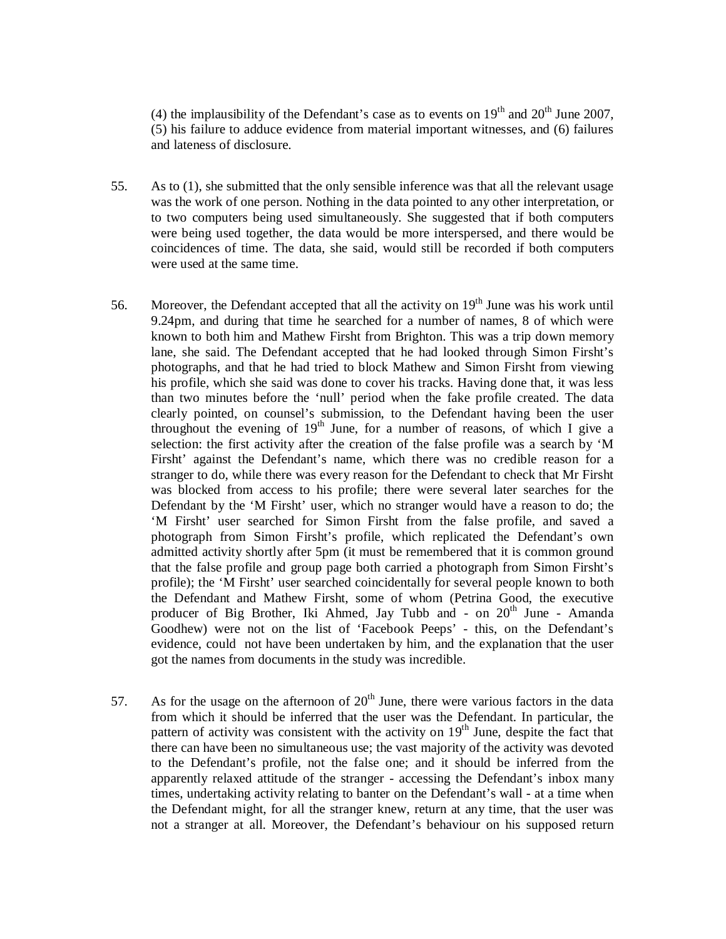(4) the implausibility of the Defendant's case as to events on  $19<sup>th</sup>$  and  $20<sup>th</sup>$  June 2007, (5) his failure to adduce evidence from material important witnesses, and (6) failures and lateness of disclosure.

- 55. As to (1), she submitted that the only sensible inference was that all the relevant usage was the work of one person. Nothing in the data pointed to any other interpretation, or to two computers being used simultaneously. She suggested that if both computers were being used together, the data would be more interspersed, and there would be coincidences of time. The data, she said, would still be recorded if both computers were used at the same time.
- 56. Moreover, the Defendant accepted that all the activity on  $19<sup>th</sup>$  June was his work until 9.24pm, and during that time he searched for a number of names, 8 of which were known to both him and Mathew Firsht from Brighton. This was a trip down memory lane, she said. The Defendant accepted that he had looked through Simon Firsht's photographs, and that he had tried to block Mathew and Simon Firsht from viewing his profile, which she said was done to cover his tracks. Having done that, it was less than two minutes before the 'null' period when the fake profile created. The data clearly pointed, on counsel's submission, to the Defendant having been the user throughout the evening of  $19<sup>th</sup>$  June, for a number of reasons, of which I give a selection: the first activity after the creation of the false profile was a search by 'M Firsht' against the Defendant's name, which there was no credible reason for a stranger to do, while there was every reason for the Defendant to check that Mr Firsht was blocked from access to his profile; there were several later searches for the Defendant by the 'M Firsht' user, which no stranger would have a reason to do; the 'M Firsht' user searched for Simon Firsht from the false profile, and saved a photograph from Simon Firsht's profile, which replicated the Defendant's own admitted activity shortly after 5pm (it must be remembered that it is common ground that the false profile and group page both carried a photograph from Simon Firsht's profile); the 'M Firsht' user searched coincidentally for several people known to both the Defendant and Mathew Firsht, some of whom (Petrina Good, the executive producer of Big Brother, Iki Ahmed, Jay Tubb and  $\sim$  on  $20<sup>th</sup>$  June - Amanda Goodhew) were not on the list of 'Facebook Peeps' - this, on the Defendant's evidence, could not have been undertaken by him, and the explanation that the user got the names from documents in the study was incredible.
- 57. As for the usage on the afternoon of  $20<sup>th</sup>$  June, there were various factors in the data from which it should be inferred that the user was the Defendant. In particular, the pattern of activity was consistent with the activity on  $19<sup>th</sup>$  June, despite the fact that there can have been no simultaneous use; the vast majority of the activity was devoted to the Defendant's profile, not the false one; and it should be inferred from the apparently relaxed attitude of the stranger - accessing the Defendant's inbox many times, undertaking activity relating to banter on the Defendant's wall - at a time when the Defendant might, for all the stranger knew, return at any time, that the user was not a stranger at all. Moreover, the Defendant's behaviour on his supposed return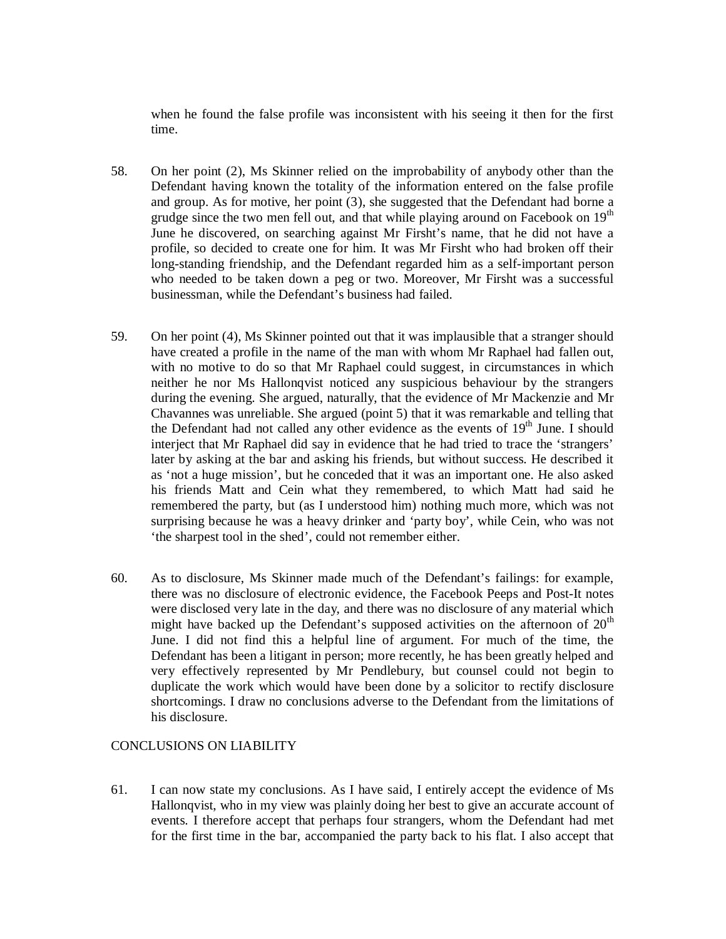when he found the false profile was inconsistent with his seeing it then for the first time.

- 58. On her point (2), Ms Skinner relied on the improbability of anybody other than the Defendant having known the totality of the information entered on the false profile and group. As for motive, her point (3), she suggested that the Defendant had borne a grudge since the two men fell out, and that while playing around on Facebook on  $19<sup>th</sup>$ June he discovered, on searching against Mr Firsht's name, that he did not have a profile, so decided to create one for him. It was Mr Firsht who had broken off their long-standing friendship, and the Defendant regarded him as a self-important person who needed to be taken down a peg or two. Moreover, Mr Firsht was a successful businessman, while the Defendant's business had failed.
- 59. On her point (4), Ms Skinner pointed out that it was implausible that a stranger should have created a profile in the name of the man with whom Mr Raphael had fallen out, with no motive to do so that Mr Raphael could suggest, in circumstances in which neither he nor Ms Hallonqvist noticed any suspicious behaviour by the strangers during the evening. She argued, naturally, that the evidence of Mr Mackenzie and Mr Chavannes was unreliable. She argued (point 5) that it was remarkable and telling that the Defendant had not called any other evidence as the events of  $19<sup>th</sup>$  June. I should interject that Mr Raphael did say in evidence that he had tried to trace the 'strangers' later by asking at the bar and asking his friends, but without success. He described it as 'not a huge mission', but he conceded that it was an important one. He also asked his friends Matt and Cein what they remembered, to which Matt had said he remembered the party, but (as I understood him) nothing much more, which was not surprising because he was a heavy drinker and 'party boy', while Cein, who was not 'the sharpest tool in the shed', could not remember either.
- 60. As to disclosure, Ms Skinner made much of the Defendant's failings: for example, there was no disclosure of electronic evidence, the Facebook Peeps and Post-It notes were disclosed very late in the day, and there was no disclosure of any material which might have backed up the Defendant's supposed activities on the afternoon of  $20<sup>th</sup>$ June. I did not find this a helpful line of argument. For much of the time, the Defendant has been a litigant in person; more recently, he has been greatly helped and very effectively represented by Mr Pendlebury, but counsel could not begin to duplicate the work which would have been done by a solicitor to rectify disclosure shortcomings. I draw no conclusions adverse to the Defendant from the limitations of his disclosure.

# CONCLUSIONS ON LIABILITY

61. I can now state my conclusions. As I have said, I entirely accept the evidence of Ms Hallonqvist, who in my view was plainly doing her best to give an accurate account of events. I therefore accept that perhaps four strangers, whom the Defendant had met for the first time in the bar, accompanied the party back to his flat. I also accept that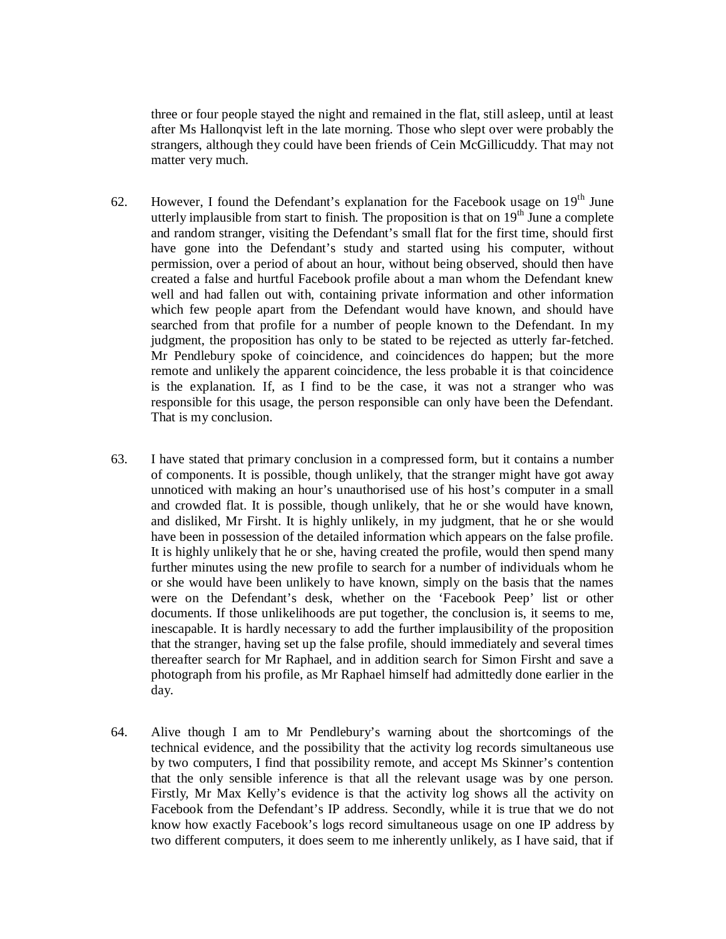three or four people stayed the night and remained in the flat, still asleep, until at least after Ms Hallonqvist left in the late morning. Those who slept over were probably the strangers, although they could have been friends of Cein McGillicuddy. That may not matter very much.

- 62. However, I found the Defendant's explanation for the Facebook usage on  $19<sup>th</sup>$  June utterly implausible from start to finish. The proposition is that on  $19<sup>th</sup>$  June a complete and random stranger, visiting the Defendant's small flat for the first time, should first have gone into the Defendant's study and started using his computer, without permission, over a period of about an hour, without being observed, should then have created a false and hurtful Facebook profile about a man whom the Defendant knew well and had fallen out with, containing private information and other information which few people apart from the Defendant would have known, and should have searched from that profile for a number of people known to the Defendant. In my judgment, the proposition has only to be stated to be rejected as utterly far-fetched. Mr Pendlebury spoke of coincidence, and coincidences do happen; but the more remote and unlikely the apparent coincidence, the less probable it is that coincidence is the explanation. If, as I find to be the case, it was not a stranger who was responsible for this usage, the person responsible can only have been the Defendant. That is my conclusion.
- 63. I have stated that primary conclusion in a compressed form, but it contains a number of components. It is possible, though unlikely, that the stranger might have got away unnoticed with making an hour's unauthorised use of his host's computer in a small and crowded flat. It is possible, though unlikely, that he or she would have known, and disliked, Mr Firsht. It is highly unlikely, in my judgment, that he or she would have been in possession of the detailed information which appears on the false profile. It is highly unlikely that he or she, having created the profile, would then spend many further minutes using the new profile to search for a number of individuals whom he or she would have been unlikely to have known, simply on the basis that the names were on the Defendant's desk, whether on the 'Facebook Peep' list or other documents. If those unlikelihoods are put together, the conclusion is, it seems to me, inescapable. It is hardly necessary to add the further implausibility of the proposition that the stranger, having set up the false profile, should immediately and several times thereafter search for Mr Raphael, and in addition search for Simon Firsht and save a photograph from his profile, as Mr Raphael himself had admittedly done earlier in the day.
- 64. Alive though I am to Mr Pendlebury's warning about the shortcomings of the technical evidence, and the possibility that the activity log records simultaneous use by two computers, I find that possibility remote, and accept Ms Skinner's contention that the only sensible inference is that all the relevant usage was by one person. Firstly, Mr Max Kelly's evidence is that the activity log shows all the activity on Facebook from the Defendant's IP address. Secondly, while it is true that we do not know how exactly Facebook's logs record simultaneous usage on one IP address by two different computers, it does seem to me inherently unlikely, as I have said, that if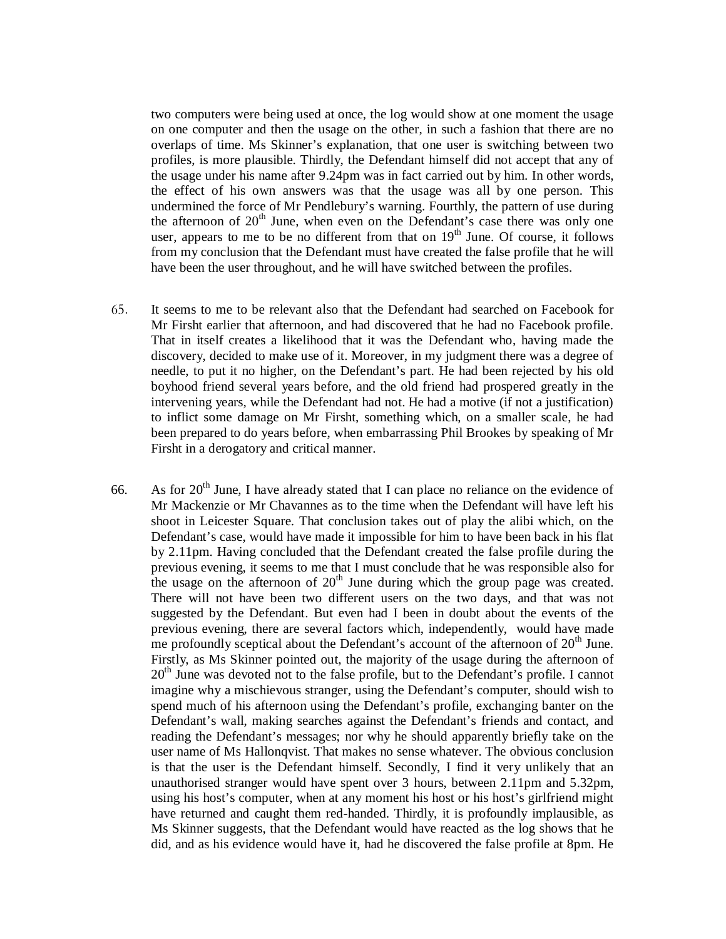two computers were being used at once, the log would show at one moment the usage on one computer and then the usage on the other, in such a fashion that there are no overlaps of time. Ms Skinner's explanation, that one user is switching between two profiles, is more plausible. Thirdly, the Defendant himself did not accept that any of the usage under his name after 9.24pm was in fact carried out by him. In other words, the effect of his own answers was that the usage was all by one person. This undermined the force of Mr Pendlebury's warning. Fourthly, the pattern of use during the afternoon of  $20<sup>th</sup>$  June, when even on the Defendant's case there was only one user, appears to me to be no different from that on  $19<sup>th</sup>$  June. Of course, it follows from my conclusion that the Defendant must have created the false profile that he will have been the user throughout, and he will have switched between the profiles.

- 65. It seems to me to be relevant also that the Defendant had searched on Facebook for Mr Firsht earlier that afternoon, and had discovered that he had no Facebook profile. That in itself creates a likelihood that it was the Defendant who, having made the discovery, decided to make use of it. Moreover, in my judgment there was a degree of needle, to put it no higher, on the Defendant's part. He had been rejected by his old boyhood friend several years before, and the old friend had prospered greatly in the intervening years, while the Defendant had not. He had a motive (if not a justification) to inflict some damage on Mr Firsht, something which, on a smaller scale, he had been prepared to do years before, when embarrassing Phil Brookes by speaking of Mr Firsht in a derogatory and critical manner.
- 66. As for  $20^{th}$  June, I have already stated that I can place no reliance on the evidence of Mr Mackenzie or Mr Chavannes as to the time when the Defendant will have left his shoot in Leicester Square. That conclusion takes out of play the alibi which, on the Defendant's case, would have made it impossible for him to have been back in his flat by 2.11pm. Having concluded that the Defendant created the false profile during the previous evening, it seems to me that I must conclude that he was responsible also for the usage on the afternoon of  $20<sup>th</sup>$  June during which the group page was created. There will not have been two different users on the two days, and that was not suggested by the Defendant. But even had I been in doubt about the events of the previous evening, there are several factors which, independently, would have made me profoundly sceptical about the Defendant's account of the afternoon of  $20<sup>th</sup>$  June. Firstly, as Ms Skinner pointed out, the majority of the usage during the afternoon of 20<sup>th</sup> June was devoted not to the false profile, but to the Defendant's profile. I cannot imagine why a mischievous stranger, using the Defendant's computer, should wish to spend much of his afternoon using the Defendant's profile, exchanging banter on the Defendant's wall, making searches against the Defendant's friends and contact, and reading the Defendant's messages; nor why he should apparently briefly take on the user name of Ms Hallonqvist. That makes no sense whatever. The obvious conclusion is that the user is the Defendant himself. Secondly, I find it very unlikely that an unauthorised stranger would have spent over 3 hours, between 2.11pm and 5.32pm, using his host's computer, when at any moment his host or his host's girlfriend might have returned and caught them red-handed. Thirdly, it is profoundly implausible, as Ms Skinner suggests, that the Defendant would have reacted as the log shows that he did, and as his evidence would have it, had he discovered the false profile at 8pm. He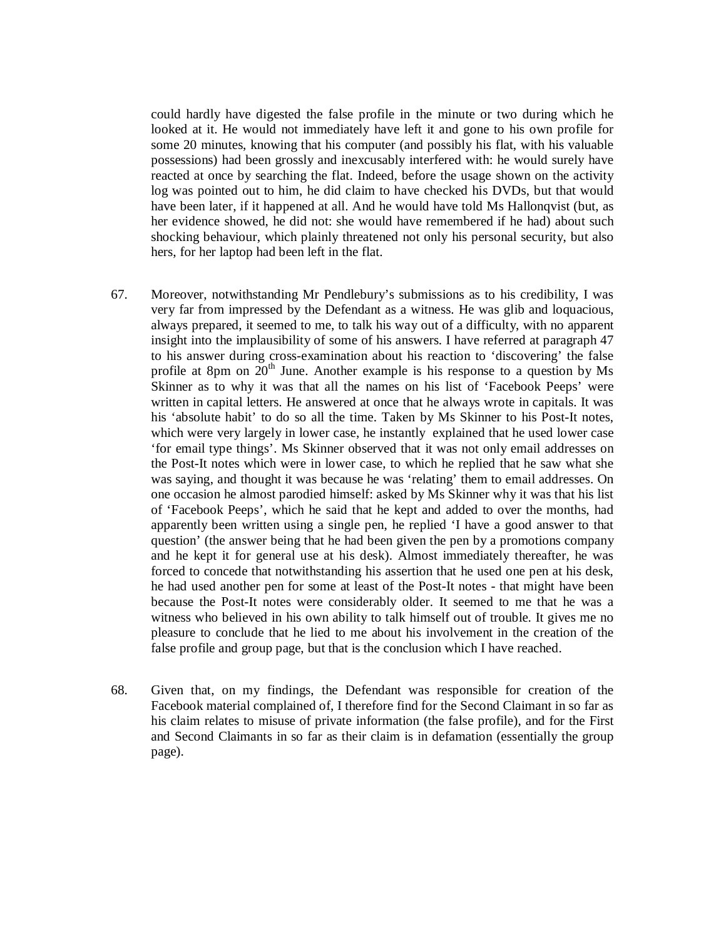could hardly have digested the false profile in the minute or two during which he looked at it. He would not immediately have left it and gone to his own profile for some 20 minutes, knowing that his computer (and possibly his flat, with his valuable possessions) had been grossly and inexcusably interfered with: he would surely have reacted at once by searching the flat. Indeed, before the usage shown on the activity log was pointed out to him, he did claim to have checked his DVDs, but that would have been later, if it happened at all. And he would have told Ms Hallonqvist (but, as her evidence showed, he did not: she would have remembered if he had) about such shocking behaviour, which plainly threatened not only his personal security, but also hers, for her laptop had been left in the flat.

- 67. Moreover, notwithstanding Mr Pendlebury's submissions as to his credibility, I was very far from impressed by the Defendant as a witness. He was glib and loquacious, always prepared, it seemed to me, to talk his way out of a difficulty, with no apparent insight into the implausibility of some of his answers. I have referred at paragraph 47 to his answer during cross-examination about his reaction to 'discovering' the false profile at 8pm on  $20<sup>th</sup>$  June. Another example is his response to a question by Ms Skinner as to why it was that all the names on his list of 'Facebook Peeps' were written in capital letters. He answered at once that he always wrote in capitals. It was his 'absolute habit' to do so all the time. Taken by Ms Skinner to his Post-It notes, which were very largely in lower case, he instantly explained that he used lower case 'for email type things'. Ms Skinner observed that it was not only email addresses on the Post-It notes which were in lower case, to which he replied that he saw what she was saying, and thought it was because he was 'relating' them to email addresses. On one occasion he almost parodied himself: asked by Ms Skinner why it was that his list of 'Facebook Peeps', which he said that he kept and added to over the months, had apparently been written using a single pen, he replied 'I have a good answer to that question' (the answer being that he had been given the pen by a promotions company and he kept it for general use at his desk). Almost immediately thereafter, he was forced to concede that notwithstanding his assertion that he used one pen at his desk, he had used another pen for some at least of the Post-It notes - that might have been because the Post-It notes were considerably older. It seemed to me that he was a witness who believed in his own ability to talk himself out of trouble. It gives me no pleasure to conclude that he lied to me about his involvement in the creation of the false profile and group page, but that is the conclusion which I have reached.
- 68. Given that, on my findings, the Defendant was responsible for creation of the Facebook material complained of, I therefore find for the Second Claimant in so far as his claim relates to misuse of private information (the false profile), and for the First and Second Claimants in so far as their claim is in defamation (essentially the group page).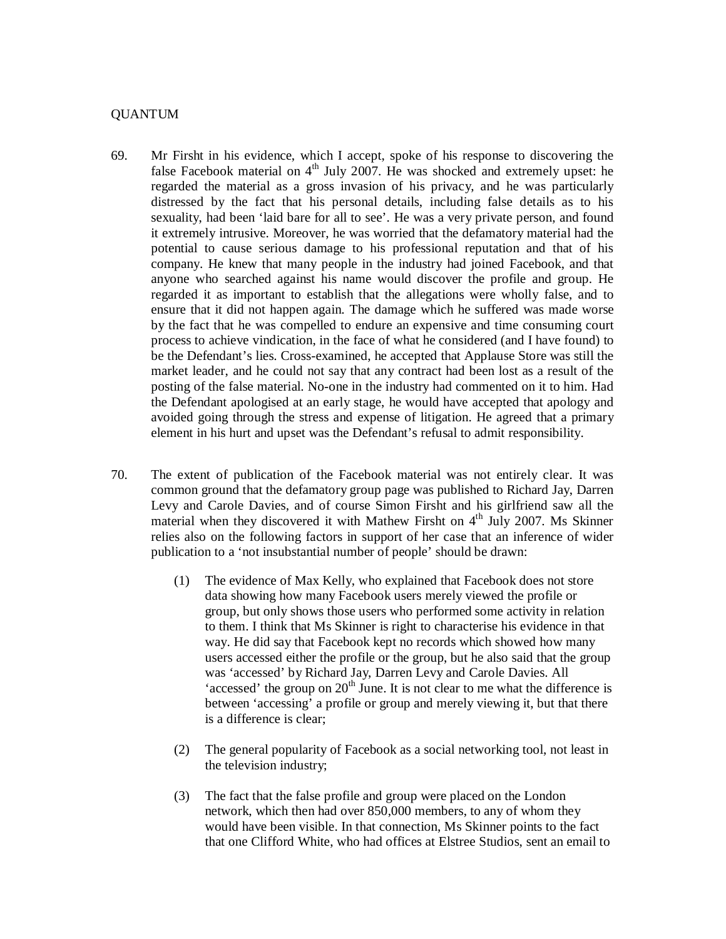### QUANTUM

- 69. Mr Firsht in his evidence, which I accept, spoke of his response to discovering the false Facebook material on  $4<sup>th</sup>$  July 2007. He was shocked and extremely upset: he regarded the material as a gross invasion of his privacy, and he was particularly distressed by the fact that his personal details, including false details as to his sexuality, had been 'laid bare for all to see'. He was a very private person, and found it extremely intrusive. Moreover, he was worried that the defamatory material had the potential to cause serious damage to his professional reputation and that of his company. He knew that many people in the industry had joined Facebook, and that anyone who searched against his name would discover the profile and group. He regarded it as important to establish that the allegations were wholly false, and to ensure that it did not happen again. The damage which he suffered was made worse by the fact that he was compelled to endure an expensive and time consuming court process to achieve vindication, in the face of what he considered (and I have found) to be the Defendant's lies. Cross-examined, he accepted that Applause Store was still the market leader, and he could not say that any contract had been lost as a result of the posting of the false material. No-one in the industry had commented on it to him. Had the Defendant apologised at an early stage, he would have accepted that apology and avoided going through the stress and expense of litigation. He agreed that a primary element in his hurt and upset was the Defendant's refusal to admit responsibility.
- 70. The extent of publication of the Facebook material was not entirely clear. It was common ground that the defamatory group page was published to Richard Jay, Darren Levy and Carole Davies, and of course Simon Firsht and his girlfriend saw all the material when they discovered it with Mathew Firsht on  $4<sup>th</sup>$  July 2007. Ms Skinner relies also on the following factors in support of her case that an inference of wider publication to a 'not insubstantial number of people' should be drawn:
	- (1) The evidence of Max Kelly, who explained that Facebook does not store data showing how many Facebook users merely viewed the profile or group, but only shows those users who performed some activity in relation to them. I think that Ms Skinner is right to characterise his evidence in that way. He did say that Facebook kept no records which showed how many users accessed either the profile or the group, but he also said that the group was 'accessed' by Richard Jay, Darren Levy and Carole Davies. All 'accessed' the group on  $20<sup>th</sup>$  June. It is not clear to me what the difference is between 'accessing' a profile or group and merely viewing it, but that there is a difference is clear;
	- (2) The general popularity of Facebook as a social networking tool, not least in the television industry;
	- (3) The fact that the false profile and group were placed on the London network, which then had over 850,000 members, to any of whom they would have been visible. In that connection, Ms Skinner points to the fact that one Clifford White, who had offices at Elstree Studios, sent an email to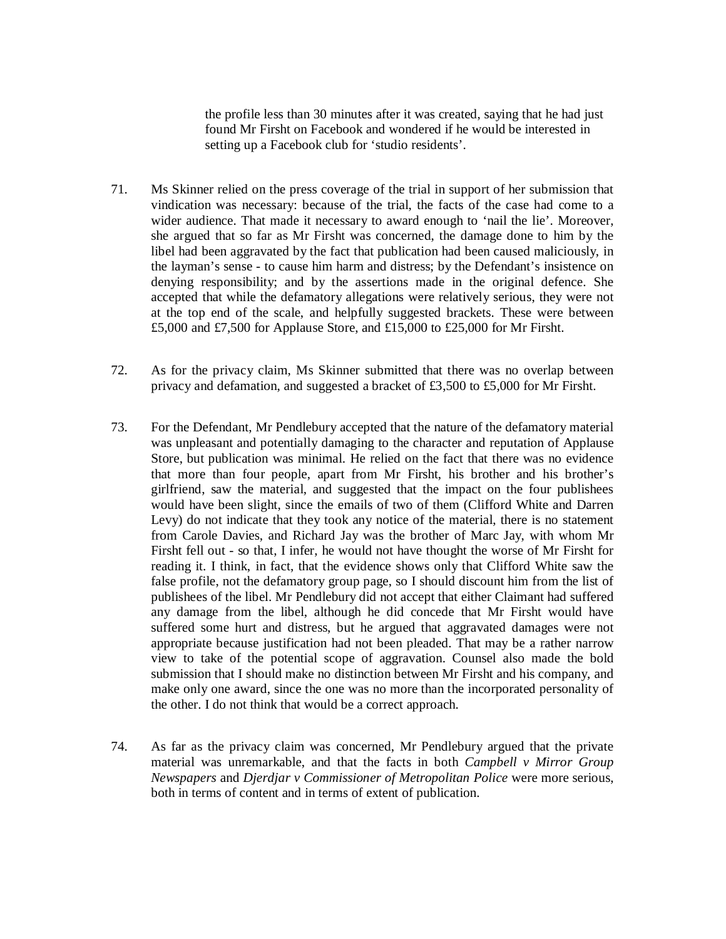the profile less than 30 minutes after it was created, saying that he had just found Mr Firsht on Facebook and wondered if he would be interested in setting up a Facebook club for 'studio residents'.

- 71. Ms Skinner relied on the press coverage of the trial in support of her submission that vindication was necessary: because of the trial, the facts of the case had come to a wider audience. That made it necessary to award enough to 'nail the lie'. Moreover, she argued that so far as Mr Firsht was concerned, the damage done to him by the libel had been aggravated by the fact that publication had been caused maliciously, in the layman's sense - to cause him harm and distress; by the Defendant's insistence on denying responsibility; and by the assertions made in the original defence. She accepted that while the defamatory allegations were relatively serious, they were not at the top end of the scale, and helpfully suggested brackets. These were between £5,000 and £7,500 for Applause Store, and £15,000 to £25,000 for Mr Firsht.
- 72. As for the privacy claim, Ms Skinner submitted that there was no overlap between privacy and defamation, and suggested a bracket of £3,500 to £5,000 for Mr Firsht.
- 73. For the Defendant, Mr Pendlebury accepted that the nature of the defamatory material was unpleasant and potentially damaging to the character and reputation of Applause Store, but publication was minimal. He relied on the fact that there was no evidence that more than four people, apart from Mr Firsht, his brother and his brother's girlfriend, saw the material, and suggested that the impact on the four publishees would have been slight, since the emails of two of them (Clifford White and Darren Levy) do not indicate that they took any notice of the material, there is no statement from Carole Davies, and Richard Jay was the brother of Marc Jay, with whom Mr Firsht fell out - so that, I infer, he would not have thought the worse of Mr Firsht for reading it. I think, in fact, that the evidence shows only that Clifford White saw the false profile, not the defamatory group page, so I should discount him from the list of publishees of the libel. Mr Pendlebury did not accept that either Claimant had suffered any damage from the libel, although he did concede that Mr Firsht would have suffered some hurt and distress, but he argued that aggravated damages were not appropriate because justification had not been pleaded. That may be a rather narrow view to take of the potential scope of aggravation. Counsel also made the bold submission that I should make no distinction between Mr Firsht and his company, and make only one award, since the one was no more than the incorporated personality of the other. I do not think that would be a correct approach.
- 74. As far as the privacy claim was concerned, Mr Pendlebury argued that the private material was unremarkable, and that the facts in both *Campbell v Mirror Group Newspapers* and *Djerdjar v Commissioner of Metropolitan Police* were more serious, both in terms of content and in terms of extent of publication.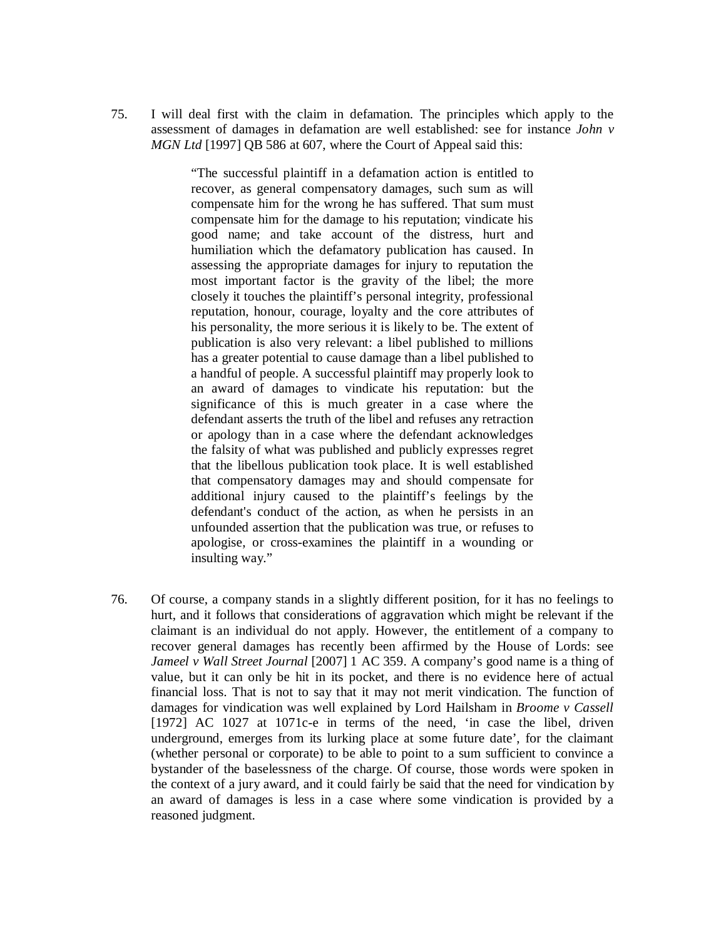75. I will deal first with the claim in defamation. The principles which apply to the assessment of damages in defamation are well established: see for instance *John v MGN Ltd* [1997] QB 586 at 607, where the Court of Appeal said this:

> "The successful plaintiff in a defamation action is entitled to recover, as general compensatory damages, such sum as will compensate him for the wrong he has suffered. That sum must compensate him for the damage to his reputation; vindicate his good name; and take account of the distress, hurt and humiliation which the defamatory publication has caused. In assessing the appropriate damages for injury to reputation the most important factor is the gravity of the libel; the more closely it touches the plaintiff's personal integrity, professional reputation, honour, courage, loyalty and the core attributes of his personality, the more serious it is likely to be. The extent of publication is also very relevant: a libel published to millions has a greater potential to cause damage than a libel published to a handful of people. A successful plaintiff may properly look to an award of damages to vindicate his reputation: but the significance of this is much greater in a case where the defendant asserts the truth of the libel and refuses any retraction or apology than in a case where the defendant acknowledges the falsity of what was published and publicly expresses regret that the libellous publication took place. It is well established that compensatory damages may and should compensate for additional injury caused to the plaintiff's feelings by the defendant's conduct of the action, as when he persists in an unfounded assertion that the publication was true, or refuses to apologise, or cross-examines the plaintiff in a wounding or insulting way."

76. Of course, a company stands in a slightly different position, for it has no feelings to hurt, and it follows that considerations of aggravation which might be relevant if the claimant is an individual do not apply. However, the entitlement of a company to recover general damages has recently been affirmed by the House of Lords: see *Jameel v Wall Street Journal* [2007] 1 AC 359. A company's good name is a thing of value, but it can only be hit in its pocket, and there is no evidence here of actual financial loss. That is not to say that it may not merit vindication. The function of damages for vindication was well explained by Lord Hailsham in *Broome v Cassell* [1972] AC 1027 at 1071c-e in terms of the need, 'in case the libel, driven underground, emerges from its lurking place at some future date', for the claimant (whether personal or corporate) to be able to point to a sum sufficient to convince a bystander of the baselessness of the charge. Of course, those words were spoken in the context of a jury award, and it could fairly be said that the need for vindication by an award of damages is less in a case where some vindication is provided by a reasoned judgment.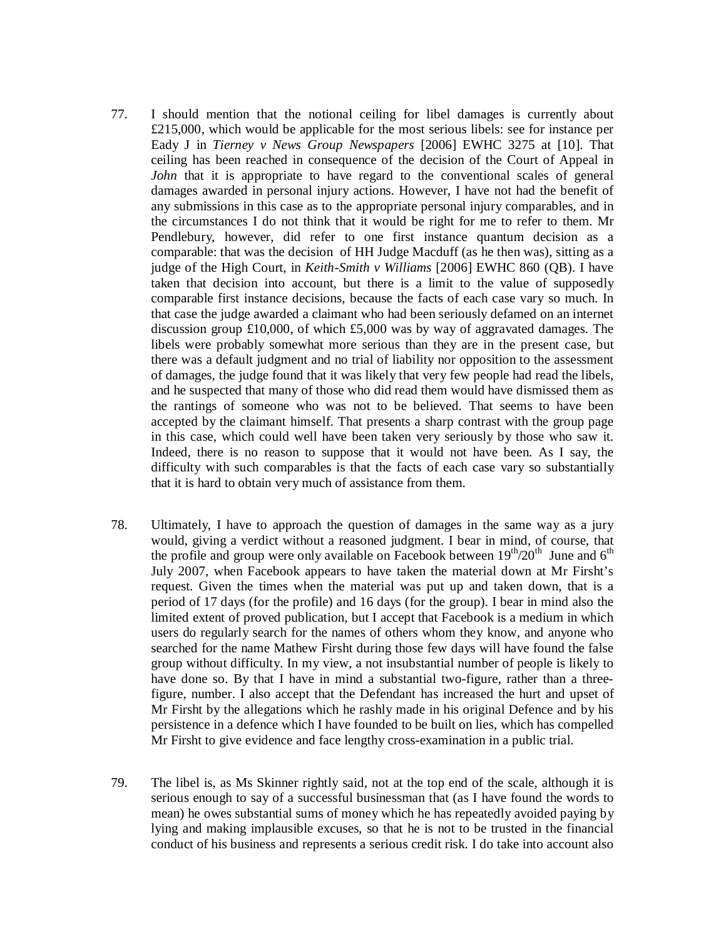- 77. I should mention that the notional ceiling for libel damages is currently about £215,000, which would be applicable for the most serious libels: see for instance per Eady J in *Tierney v News Group Newspapers* [2006] EWHC 3275 at [10]. That ceiling has been reached in consequence of the decision of the Court of Appeal in *John* that it is appropriate to have regard to the conventional scales of general damages awarded in personal injury actions. However, I have not had the benefit of any submissions in this case as to the appropriate personal injury comparables, and in the circumstances I do not think that it would be right for me to refer to them. Mr Pendlebury, however, did refer to one first instance quantum decision as a comparable: that was the decision of HH Judge Macduff (as he then was), sitting as a judge of the High Court, in *Keith-Smith v Williams* [2006] EWHC 860 (QB). I have taken that decision into account, but there is a limit to the value of supposedly comparable first instance decisions, because the facts of each case vary so much. In that case the judge awarded a claimant who had been seriously defamed on an internet discussion group £10,000, of which £5,000 was by way of aggravated damages. The libels were probably somewhat more serious than they are in the present case, but there was a default judgment and no trial of liability nor opposition to the assessment of damages, the judge found that it was likely that very few people had read the libels, and he suspected that many of those who did read them would have dismissed them as the rantings of someone who was not to be believed. That seems to have been accepted by the claimant himself. That presents a sharp contrast with the group page in this case, which could well have been taken very seriously by those who saw it. Indeed, there is no reason to suppose that it would not have been. As I say, the difficulty with such comparables is that the facts of each case vary so substantially that it is hard to obtain very much of assistance from them.
- 78. Ultimately, I have to approach the question of damages in the same way as a jury would, giving a verdict without a reasoned judgment. I bear in mind, of course, that the profile and group were only available on Facebook between  $19^{th}/20^{th}$  June and  $6^{th}$ July 2007, when Facebook appears to have taken the material down at Mr Firsht's request. Given the times when the material was put up and taken down, that is a period of 17 days (for the profile) and 16 days (for the group). I bear in mind also the limited extent of proved publication, but I accept that Facebook is a medium in which users do regularly search for the names of others whom they know, and anyone who searched for the name Mathew Firsht during those few days will have found the false group without difficulty. In my view, a not insubstantial number of people is likely to have done so. By that I have in mind a substantial two-figure, rather than a threefigure, number. I also accept that the Defendant has increased the hurt and upset of Mr Firsht by the allegations which he rashly made in his original Defence and by his persistence in a defence which I have founded to be built on lies, which has compelled Mr Firsht to give evidence and face lengthy cross-examination in a public trial.
- 79. The libel is, as Ms Skinner rightly said, not at the top end of the scale, although it is serious enough to say of a successful businessman that (as I have found the words to mean) he owes substantial sums of money which he has repeatedly avoided paying by lying and making implausible excuses, so that he is not to be trusted in the financial conduct of his business and represents a serious credit risk. I do take into account also